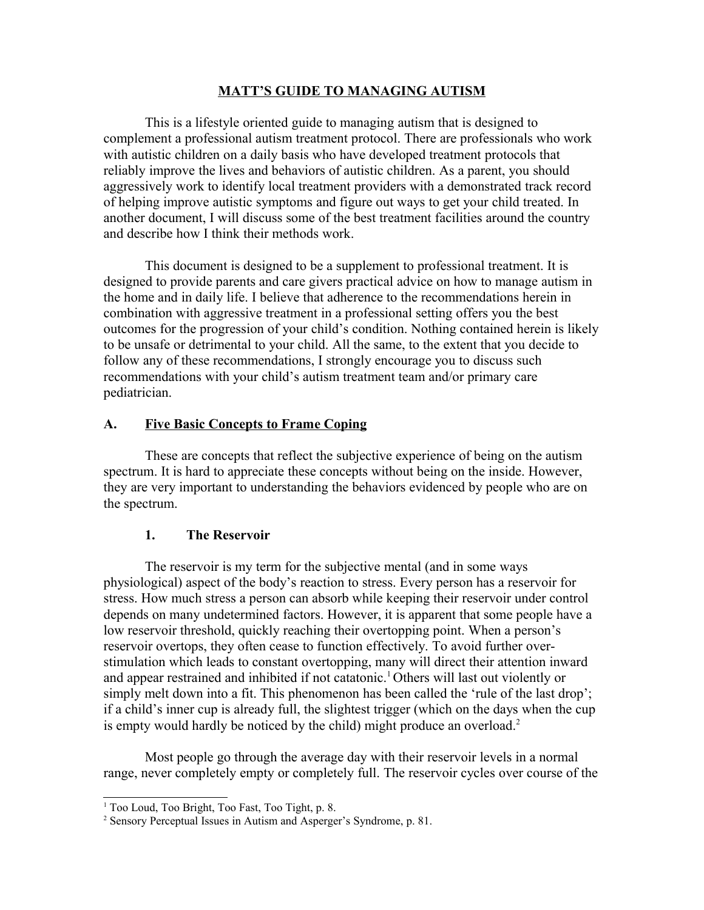### **MATT'S GUIDE TO MANAGING AUTISM**

This is a lifestyle oriented guide to managing autism that is designed to complement a professional autism treatment protocol. There are professionals who work with autistic children on a daily basis who have developed treatment protocols that reliably improve the lives and behaviors of autistic children. As a parent, you should aggressively work to identify local treatment providers with a demonstrated track record of helping improve autistic symptoms and figure out ways to get your child treated. In another document, I will discuss some of the best treatment facilities around the country and describe how I think their methods work.

This document is designed to be a supplement to professional treatment. It is designed to provide parents and care givers practical advice on how to manage autism in the home and in daily life. I believe that adherence to the recommendations herein in combination with aggressive treatment in a professional setting offers you the best outcomes for the progression of your child's condition. Nothing contained herein is likely to be unsafe or detrimental to your child. All the same, to the extent that you decide to follow any of these recommendations, I strongly encourage you to discuss such recommendations with your child's autism treatment team and/or primary care pediatrician.

## **A. Five Basic Concepts to Frame Coping**

These are concepts that reflect the subjective experience of being on the autism spectrum. It is hard to appreciate these concepts without being on the inside. However, they are very important to understanding the behaviors evidenced by people who are on the spectrum.

## **1. The Reservoir**

The reservoir is my term for the subjective mental (and in some ways physiological) aspect of the body's reaction to stress. Every person has a reservoir for stress. How much stress a person can absorb while keeping their reservoir under control depends on many undetermined factors. However, it is apparent that some people have a low reservoir threshold, quickly reaching their overtopping point. When a person's reservoir overtops, they often cease to function effectively. To avoid further overstimulation which leads to constant overtopping, many will direct their attention inward and appear restrained and inhibited if not catatonic.<sup>[1](#page-0-0)</sup> Others will last out violently or simply melt down into a fit. This phenomenon has been called the 'rule of the last drop'; if a child's inner cup is already full, the slightest trigger (which on the days when the cup is empty would hardly be noticed by the child) might produce an overload.<sup>[2](#page-0-1)</sup>

Most people go through the average day with their reservoir levels in a normal range, never completely empty or completely full. The reservoir cycles over course of the

<span id="page-0-0"></span><sup>&</sup>lt;sup>1</sup> Too Loud, Too Bright, Too Fast, Too Tight, p. 8.

<span id="page-0-1"></span><sup>&</sup>lt;sup>2</sup> Sensory Perceptual Issues in Autism and Asperger's Syndrome, p. 81.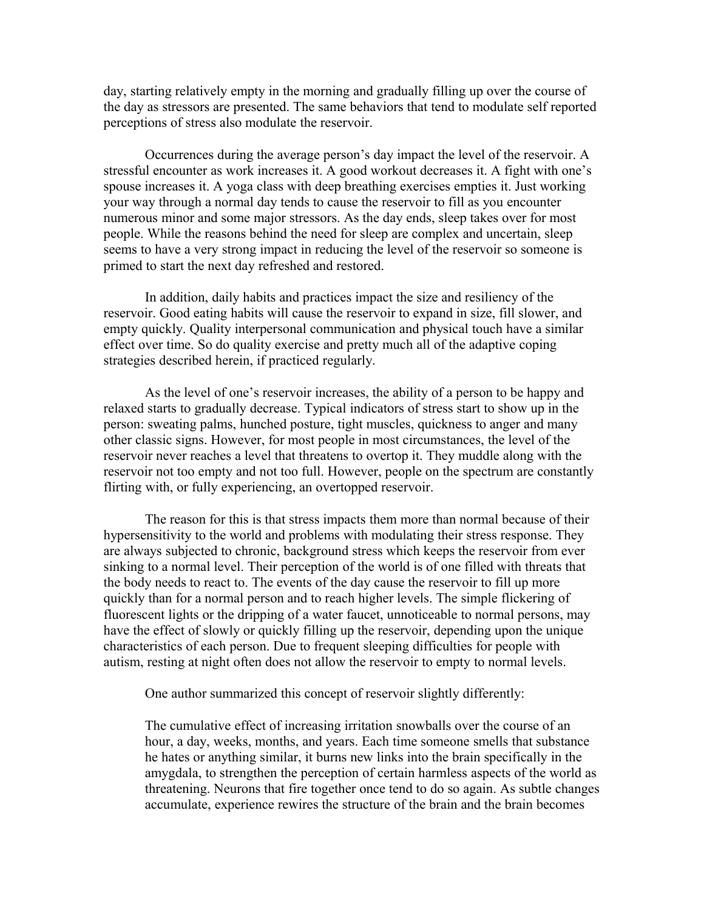day, starting relatively empty in the morning and gradually filling up over the course of the day as stressors are presented. The same behaviors that tend to modulate self reported perceptions of stress also modulate the reservoir.

Occurrences during the average person's day impact the level of the reservoir. A stressful encounter as work increases it. A good workout decreases it. A fight with one's spouse increases it. A yoga class with deep breathing exercises empties it. Just working your way through a normal day tends to cause the reservoir to fill as you encounter numerous minor and some major stressors. As the day ends, sleep takes over for most people. While the reasons behind the need for sleep are complex and uncertain, sleep seems to have a very strong impact in reducing the level of the reservoir so someone is primed to start the next day refreshed and restored.

In addition, daily habits and practices impact the size and resiliency of the reservoir. Good eating habits will cause the reservoir to expand in size, fill slower, and empty quickly. Quality interpersonal communication and physical touch have a similar effect over time. So do quality exercise and pretty much all of the adaptive coping strategies described herein, if practiced regularly.

As the level of one's reservoir increases, the ability of a person to be happy and relaxed starts to gradually decrease. Typical indicators of stress start to show up in the person: sweating palms, hunched posture, tight muscles, quickness to anger and many other classic signs. However, for most people in most circumstances, the level of the reservoir never reaches a level that threatens to overtop it. They muddle along with the reservoir not too empty and not too full. However, people on the spectrum are constantly flirting with, or fully experiencing, an overtopped reservoir.

The reason for this is that stress impacts them more than normal because of their hypersensitivity to the world and problems with modulating their stress response. They are always subjected to chronic, background stress which keeps the reservoir from ever sinking to a normal level. Their perception of the world is of one filled with threats that the body needs to react to. The events of the day cause the reservoir to fill up more quickly than for a normal person and to reach higher levels. The simple flickering of fluorescent lights or the dripping of a water faucet, unnoticeable to normal persons, may have the effect of slowly or quickly filling up the reservoir, depending upon the unique characteristics of each person. Due to frequent sleeping difficulties for people with autism, resting at night often does not allow the reservoir to empty to normal levels.

One author summarized this concept of reservoir slightly differently:

The cumulative effect of increasing irritation snowballs over the course of an hour, a day, weeks, months, and years. Each time someone smells that substance he hates or anything similar, it burns new links into the brain specifically in the amygdala, to strengthen the perception of certain harmless aspects of the world as threatening. Neurons that fire together once tend to do so again. As subtle changes accumulate, experience rewires the structure of the brain and the brain becomes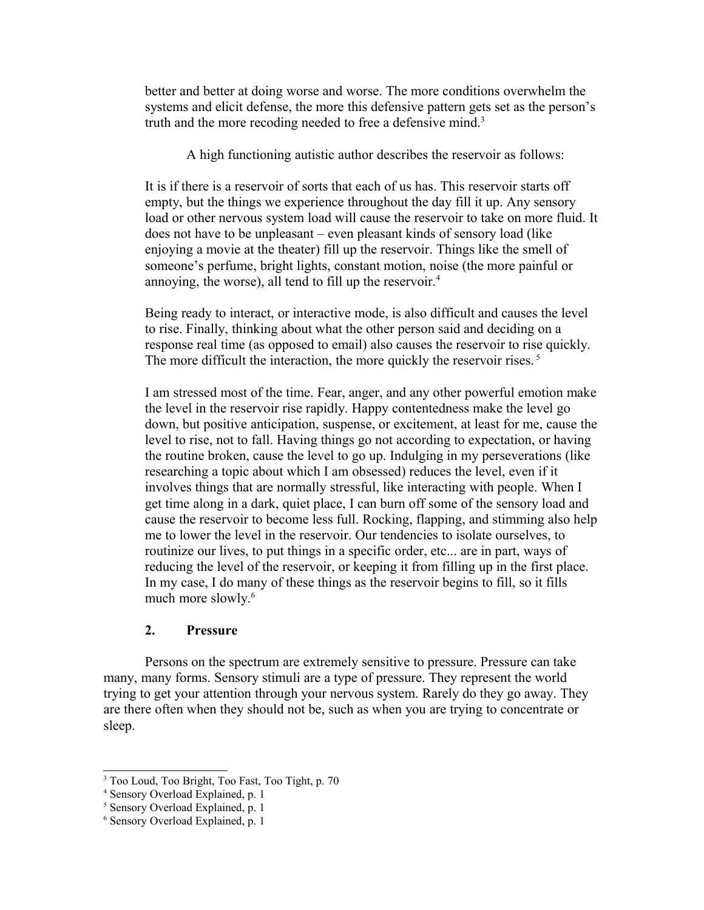better and better at doing worse and worse. The more conditions overwhelm the systems and elicit defense, the more this defensive pattern gets set as the person's truth and the more recoding needed to free a defensive mind.<sup>[3](#page-2-0)</sup>

A high functioning autistic author describes the reservoir as follows:

It is if there is a reservoir of sorts that each of us has. This reservoir starts off empty, but the things we experience throughout the day fill it up. Any sensory load or other nervous system load will cause the reservoir to take on more fluid. It does not have to be unpleasant – even pleasant kinds of sensory load (like enjoying a movie at the theater) fill up the reservoir. Things like the smell of someone's perfume, bright lights, constant motion, noise (the more painful or annoying, the worse), all tend to fill up the reservoir.<sup>[4](#page-2-1)</sup>

Being ready to interact, or interactive mode, is also difficult and causes the level to rise. Finally, thinking about what the other person said and deciding on a response real time (as opposed to email) also causes the reservoir to rise quickly. The more difficult the interaction, the more quickly the reservoir rises.<sup>[5](#page-2-2)</sup>

I am stressed most of the time. Fear, anger, and any other powerful emotion make the level in the reservoir rise rapidly. Happy contentedness make the level go down, but positive anticipation, suspense, or excitement, at least for me, cause the level to rise, not to fall. Having things go not according to expectation, or having the routine broken, cause the level to go up. Indulging in my perseverations (like researching a topic about which I am obsessed) reduces the level, even if it involves things that are normally stressful, like interacting with people. When I get time along in a dark, quiet place, I can burn off some of the sensory load and cause the reservoir to become less full. Rocking, flapping, and stimming also help me to lower the level in the reservoir. Our tendencies to isolate ourselves, to routinize our lives, to put things in a specific order, etc... are in part, ways of reducing the level of the reservoir, or keeping it from filling up in the first place. In my case, I do many of these things as the reservoir begins to fill, so it fills much more slowly.<sup>[6](#page-2-3)</sup>

## **2. Pressure**

Persons on the spectrum are extremely sensitive to pressure. Pressure can take many, many forms. Sensory stimuli are a type of pressure. They represent the world trying to get your attention through your nervous system. Rarely do they go away. They are there often when they should not be, such as when you are trying to concentrate or sleep.

<span id="page-2-0"></span><sup>3</sup> Too Loud, Too Bright, Too Fast, Too Tight, p. 70

<span id="page-2-1"></span><sup>4</sup> Sensory Overload Explained, p. 1

<span id="page-2-2"></span><sup>5</sup> Sensory Overload Explained, p. 1

<span id="page-2-3"></span><sup>6</sup> Sensory Overload Explained, p. 1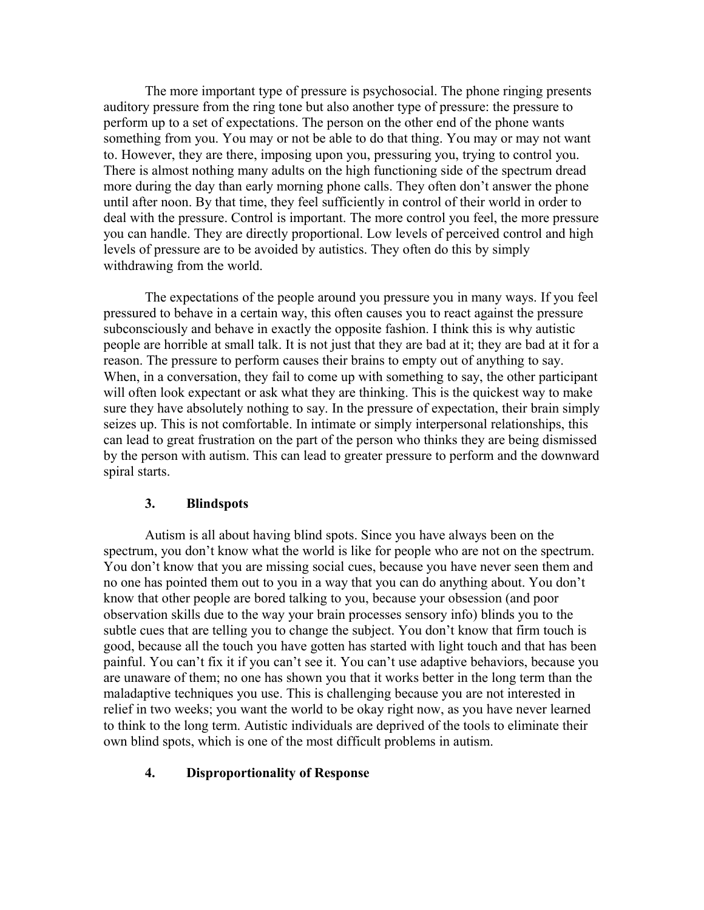The more important type of pressure is psychosocial. The phone ringing presents auditory pressure from the ring tone but also another type of pressure: the pressure to perform up to a set of expectations. The person on the other end of the phone wants something from you. You may or not be able to do that thing. You may or may not want to. However, they are there, imposing upon you, pressuring you, trying to control you. There is almost nothing many adults on the high functioning side of the spectrum dread more during the day than early morning phone calls. They often don't answer the phone until after noon. By that time, they feel sufficiently in control of their world in order to deal with the pressure. Control is important. The more control you feel, the more pressure you can handle. They are directly proportional. Low levels of perceived control and high levels of pressure are to be avoided by autistics. They often do this by simply withdrawing from the world.

The expectations of the people around you pressure you in many ways. If you feel pressured to behave in a certain way, this often causes you to react against the pressure subconsciously and behave in exactly the opposite fashion. I think this is why autistic people are horrible at small talk. It is not just that they are bad at it; they are bad at it for a reason. The pressure to perform causes their brains to empty out of anything to say. When, in a conversation, they fail to come up with something to say, the other participant will often look expectant or ask what they are thinking. This is the quickest way to make sure they have absolutely nothing to say. In the pressure of expectation, their brain simply seizes up. This is not comfortable. In intimate or simply interpersonal relationships, this can lead to great frustration on the part of the person who thinks they are being dismissed by the person with autism. This can lead to greater pressure to perform and the downward spiral starts.

#### **3. Blindspots**

Autism is all about having blind spots. Since you have always been on the spectrum, you don't know what the world is like for people who are not on the spectrum. You don't know that you are missing social cues, because you have never seen them and no one has pointed them out to you in a way that you can do anything about. You don't know that other people are bored talking to you, because your obsession (and poor observation skills due to the way your brain processes sensory info) blinds you to the subtle cues that are telling you to change the subject. You don't know that firm touch is good, because all the touch you have gotten has started with light touch and that has been painful. You can't fix it if you can't see it. You can't use adaptive behaviors, because you are unaware of them; no one has shown you that it works better in the long term than the maladaptive techniques you use. This is challenging because you are not interested in relief in two weeks; you want the world to be okay right now, as you have never learned to think to the long term. Autistic individuals are deprived of the tools to eliminate their own blind spots, which is one of the most difficult problems in autism.

#### **4. Disproportionality of Response**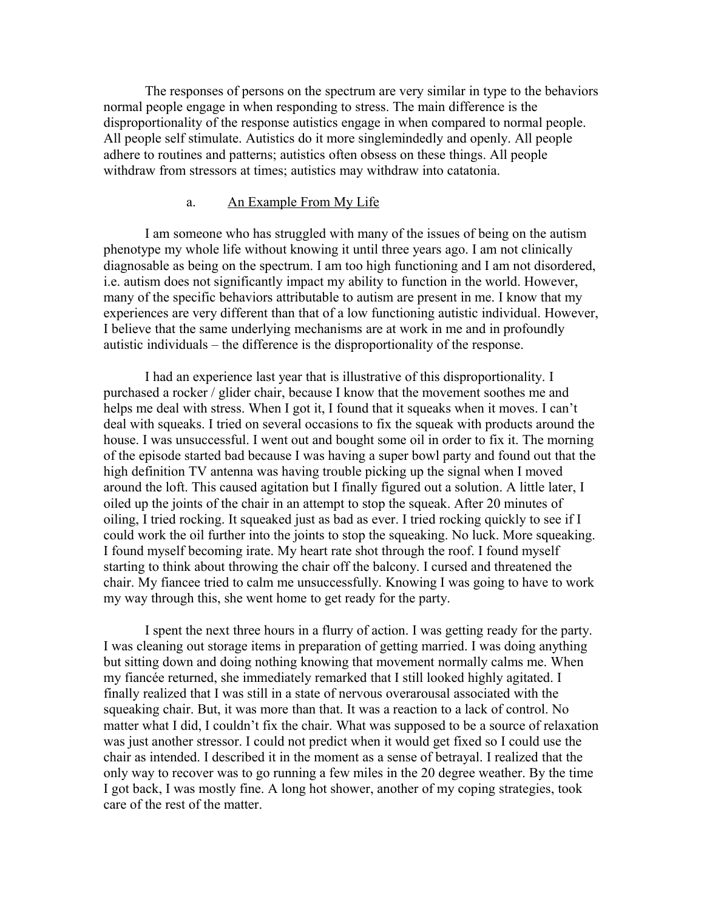The responses of persons on the spectrum are very similar in type to the behaviors normal people engage in when responding to stress. The main difference is the disproportionality of the response autistics engage in when compared to normal people. All people self stimulate. Autistics do it more singlemindedly and openly. All people adhere to routines and patterns; autistics often obsess on these things. All people withdraw from stressors at times; autistics may withdraw into catatonia.

## a. An Example From My Life

I am someone who has struggled with many of the issues of being on the autism phenotype my whole life without knowing it until three years ago. I am not clinically diagnosable as being on the spectrum. I am too high functioning and I am not disordered, i.e. autism does not significantly impact my ability to function in the world. However, many of the specific behaviors attributable to autism are present in me. I know that my experiences are very different than that of a low functioning autistic individual. However, I believe that the same underlying mechanisms are at work in me and in profoundly autistic individuals – the difference is the disproportionality of the response.

I had an experience last year that is illustrative of this disproportionality. I purchased a rocker / glider chair, because I know that the movement soothes me and helps me deal with stress. When I got it, I found that it squeaks when it moves. I can't deal with squeaks. I tried on several occasions to fix the squeak with products around the house. I was unsuccessful. I went out and bought some oil in order to fix it. The morning of the episode started bad because I was having a super bowl party and found out that the high definition TV antenna was having trouble picking up the signal when I moved around the loft. This caused agitation but I finally figured out a solution. A little later, I oiled up the joints of the chair in an attempt to stop the squeak. After 20 minutes of oiling, I tried rocking. It squeaked just as bad as ever. I tried rocking quickly to see if I could work the oil further into the joints to stop the squeaking. No luck. More squeaking. I found myself becoming irate. My heart rate shot through the roof. I found myself starting to think about throwing the chair off the balcony. I cursed and threatened the chair. My fiancee tried to calm me unsuccessfully. Knowing I was going to have to work my way through this, she went home to get ready for the party.

I spent the next three hours in a flurry of action. I was getting ready for the party. I was cleaning out storage items in preparation of getting married. I was doing anything but sitting down and doing nothing knowing that movement normally calms me. When my fiancée returned, she immediately remarked that I still looked highly agitated. I finally realized that I was still in a state of nervous overarousal associated with the squeaking chair. But, it was more than that. It was a reaction to a lack of control. No matter what I did, I couldn't fix the chair. What was supposed to be a source of relaxation was just another stressor. I could not predict when it would get fixed so I could use the chair as intended. I described it in the moment as a sense of betrayal. I realized that the only way to recover was to go running a few miles in the 20 degree weather. By the time I got back, I was mostly fine. A long hot shower, another of my coping strategies, took care of the rest of the matter.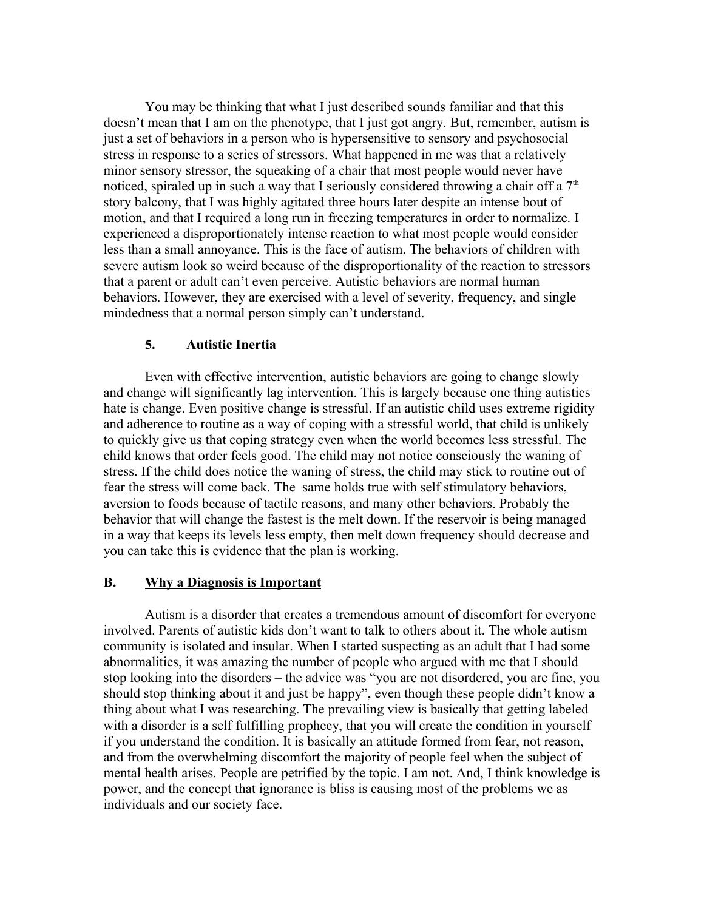You may be thinking that what I just described sounds familiar and that this doesn't mean that I am on the phenotype, that I just got angry. But, remember, autism is just a set of behaviors in a person who is hypersensitive to sensory and psychosocial stress in response to a series of stressors. What happened in me was that a relatively minor sensory stressor, the squeaking of a chair that most people would never have noticed, spiraled up in such a way that I seriously considered throwing a chair off a  $7<sup>th</sup>$ story balcony, that I was highly agitated three hours later despite an intense bout of motion, and that I required a long run in freezing temperatures in order to normalize. I experienced a disproportionately intense reaction to what most people would consider less than a small annoyance. This is the face of autism. The behaviors of children with severe autism look so weird because of the disproportionality of the reaction to stressors that a parent or adult can't even perceive. Autistic behaviors are normal human behaviors. However, they are exercised with a level of severity, frequency, and single mindedness that a normal person simply can't understand.

## **5. Autistic Inertia**

Even with effective intervention, autistic behaviors are going to change slowly and change will significantly lag intervention. This is largely because one thing autistics hate is change. Even positive change is stressful. If an autistic child uses extreme rigidity and adherence to routine as a way of coping with a stressful world, that child is unlikely to quickly give us that coping strategy even when the world becomes less stressful. The child knows that order feels good. The child may not notice consciously the waning of stress. If the child does notice the waning of stress, the child may stick to routine out of fear the stress will come back. The same holds true with self stimulatory behaviors, aversion to foods because of tactile reasons, and many other behaviors. Probably the behavior that will change the fastest is the melt down. If the reservoir is being managed in a way that keeps its levels less empty, then melt down frequency should decrease and you can take this is evidence that the plan is working.

## **B. Why a Diagnosis is Important**

Autism is a disorder that creates a tremendous amount of discomfort for everyone involved. Parents of autistic kids don't want to talk to others about it. The whole autism community is isolated and insular. When I started suspecting as an adult that I had some abnormalities, it was amazing the number of people who argued with me that I should stop looking into the disorders – the advice was "you are not disordered, you are fine, you should stop thinking about it and just be happy", even though these people didn't know a thing about what I was researching. The prevailing view is basically that getting labeled with a disorder is a self fulfilling prophecy, that you will create the condition in yourself if you understand the condition. It is basically an attitude formed from fear, not reason, and from the overwhelming discomfort the majority of people feel when the subject of mental health arises. People are petrified by the topic. I am not. And, I think knowledge is power, and the concept that ignorance is bliss is causing most of the problems we as individuals and our society face.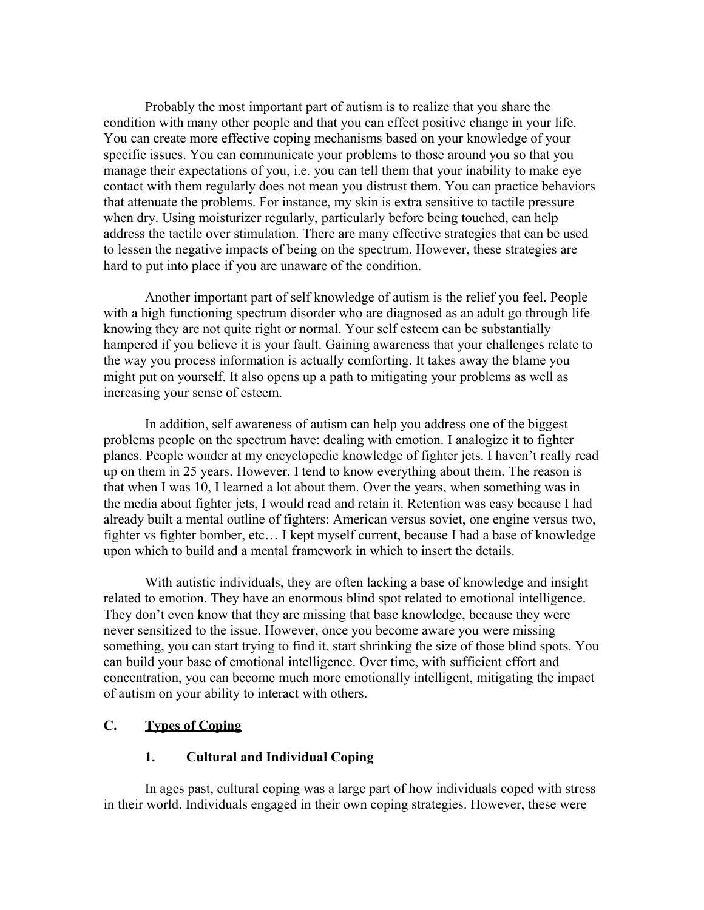Probably the most important part of autism is to realize that you share the condition with many other people and that you can effect positive change in your life. You can create more effective coping mechanisms based on your knowledge of your specific issues. You can communicate your problems to those around you so that you manage their expectations of you, i.e. you can tell them that your inability to make eye contact with them regularly does not mean you distrust them. You can practice behaviors that attenuate the problems. For instance, my skin is extra sensitive to tactile pressure when dry. Using moisturizer regularly, particularly before being touched, can help address the tactile over stimulation. There are many effective strategies that can be used to lessen the negative impacts of being on the spectrum. However, these strategies are hard to put into place if you are unaware of the condition.

Another important part of self knowledge of autism is the relief you feel. People with a high functioning spectrum disorder who are diagnosed as an adult go through life knowing they are not quite right or normal. Your self esteem can be substantially hampered if you believe it is your fault. Gaining awareness that your challenges relate to the way you process information is actually comforting. It takes away the blame you might put on yourself. It also opens up a path to mitigating your problems as well as increasing your sense of esteem.

In addition, self awareness of autism can help you address one of the biggest problems people on the spectrum have: dealing with emotion. I analogize it to fighter planes. People wonder at my encyclopedic knowledge of fighter jets. I haven't really read up on them in 25 years. However, I tend to know everything about them. The reason is that when I was 10, I learned a lot about them. Over the years, when something was in the media about fighter jets, I would read and retain it. Retention was easy because I had already built a mental outline of fighters: American versus soviet, one engine versus two, fighter vs fighter bomber, etc… I kept myself current, because I had a base of knowledge upon which to build and a mental framework in which to insert the details.

With autistic individuals, they are often lacking a base of knowledge and insight related to emotion. They have an enormous blind spot related to emotional intelligence. They don't even know that they are missing that base knowledge, because they were never sensitized to the issue. However, once you become aware you were missing something, you can start trying to find it, start shrinking the size of those blind spots. You can build your base of emotional intelligence. Over time, with sufficient effort and concentration, you can become much more emotionally intelligent, mitigating the impact of autism on your ability to interact with others.

## **C. Types of Coping**

## **1. Cultural and Individual Coping**

In ages past, cultural coping was a large part of how individuals coped with stress in their world. Individuals engaged in their own coping strategies. However, these were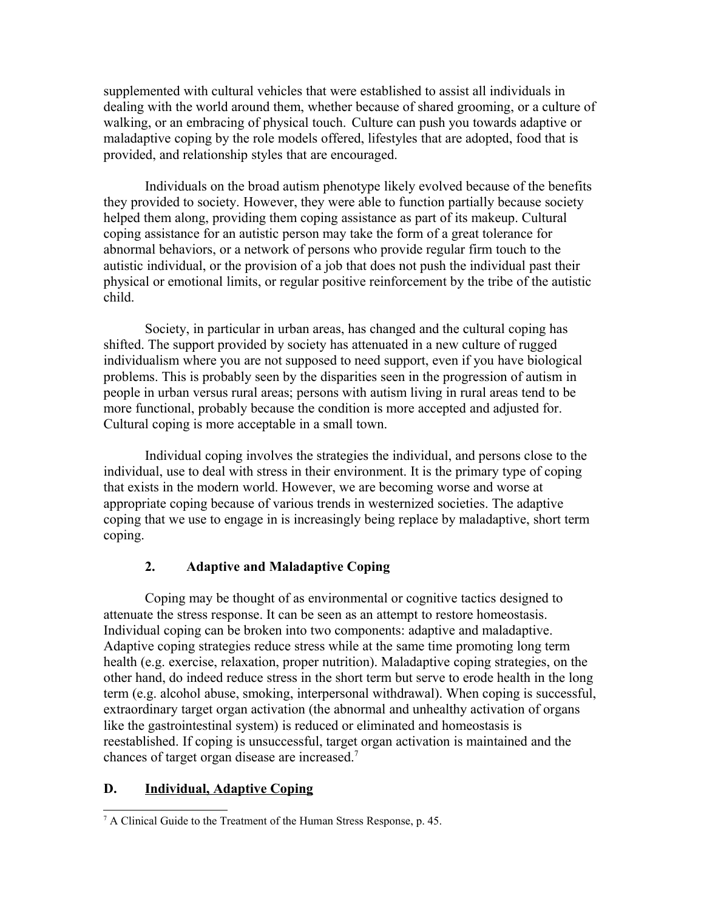supplemented with cultural vehicles that were established to assist all individuals in dealing with the world around them, whether because of shared grooming, or a culture of walking, or an embracing of physical touch. Culture can push you towards adaptive or maladaptive coping by the role models offered, lifestyles that are adopted, food that is provided, and relationship styles that are encouraged.

Individuals on the broad autism phenotype likely evolved because of the benefits they provided to society. However, they were able to function partially because society helped them along, providing them coping assistance as part of its makeup. Cultural coping assistance for an autistic person may take the form of a great tolerance for abnormal behaviors, or a network of persons who provide regular firm touch to the autistic individual, or the provision of a job that does not push the individual past their physical or emotional limits, or regular positive reinforcement by the tribe of the autistic child.

Society, in particular in urban areas, has changed and the cultural coping has shifted. The support provided by society has attenuated in a new culture of rugged individualism where you are not supposed to need support, even if you have biological problems. This is probably seen by the disparities seen in the progression of autism in people in urban versus rural areas; persons with autism living in rural areas tend to be more functional, probably because the condition is more accepted and adjusted for. Cultural coping is more acceptable in a small town.

Individual coping involves the strategies the individual, and persons close to the individual, use to deal with stress in their environment. It is the primary type of coping that exists in the modern world. However, we are becoming worse and worse at appropriate coping because of various trends in westernized societies. The adaptive coping that we use to engage in is increasingly being replace by maladaptive, short term coping.

## **2. Adaptive and Maladaptive Coping**

Coping may be thought of as environmental or cognitive tactics designed to attenuate the stress response. It can be seen as an attempt to restore homeostasis. Individual coping can be broken into two components: adaptive and maladaptive. Adaptive coping strategies reduce stress while at the same time promoting long term health (e.g. exercise, relaxation, proper nutrition). Maladaptive coping strategies, on the other hand, do indeed reduce stress in the short term but serve to erode health in the long term (e.g. alcohol abuse, smoking, interpersonal withdrawal). When coping is successful, extraordinary target organ activation (the abnormal and unhealthy activation of organs like the gastrointestinal system) is reduced or eliminated and homeostasis is reestablished. If coping is unsuccessful, target organ activation is maintained and the chances of target organ disease are increased.[7](#page-7-0)

## **D. Individual, Adaptive Coping**

<span id="page-7-0"></span><sup>&</sup>lt;sup>7</sup> A Clinical Guide to the Treatment of the Human Stress Response, p. 45.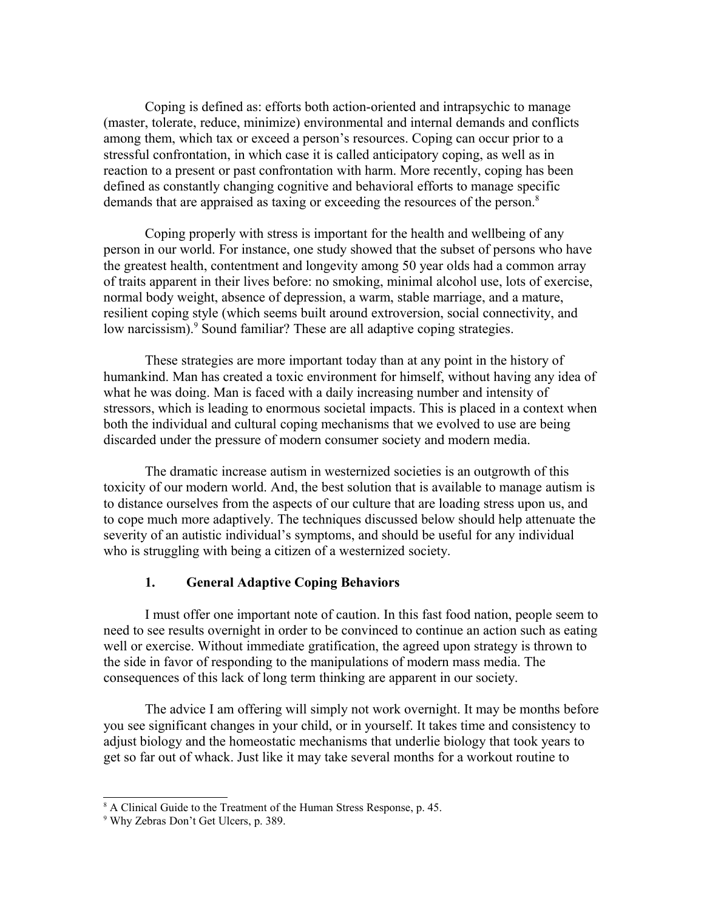Coping is defined as: efforts both action-oriented and intrapsychic to manage (master, tolerate, reduce, minimize) environmental and internal demands and conflicts among them, which tax or exceed a person's resources. Coping can occur prior to a stressful confrontation, in which case it is called anticipatory coping, as well as in reaction to a present or past confrontation with harm. More recently, coping has been defined as constantly changing cognitive and behavioral efforts to manage specific demands that are appraised as taxing or exceeding the resources of the person.<sup>[8](#page-8-0)</sup>

Coping properly with stress is important for the health and wellbeing of any person in our world. For instance, one study showed that the subset of persons who have the greatest health, contentment and longevity among 50 year olds had a common array of traits apparent in their lives before: no smoking, minimal alcohol use, lots of exercise, normal body weight, absence of depression, a warm, stable marriage, and a mature, resilient coping style (which seems built around extroversion, social connectivity, and low narcissism).<sup>[9](#page-8-1)</sup> Sound familiar? These are all adaptive coping strategies.

These strategies are more important today than at any point in the history of humankind. Man has created a toxic environment for himself, without having any idea of what he was doing. Man is faced with a daily increasing number and intensity of stressors, which is leading to enormous societal impacts. This is placed in a context when both the individual and cultural coping mechanisms that we evolved to use are being discarded under the pressure of modern consumer society and modern media.

The dramatic increase autism in westernized societies is an outgrowth of this toxicity of our modern world. And, the best solution that is available to manage autism is to distance ourselves from the aspects of our culture that are loading stress upon us, and to cope much more adaptively. The techniques discussed below should help attenuate the severity of an autistic individual's symptoms, and should be useful for any individual who is struggling with being a citizen of a westernized society.

## **1. General Adaptive Coping Behaviors**

I must offer one important note of caution. In this fast food nation, people seem to need to see results overnight in order to be convinced to continue an action such as eating well or exercise. Without immediate gratification, the agreed upon strategy is thrown to the side in favor of responding to the manipulations of modern mass media. The consequences of this lack of long term thinking are apparent in our society.

The advice I am offering will simply not work overnight. It may be months before you see significant changes in your child, or in yourself. It takes time and consistency to adjust biology and the homeostatic mechanisms that underlie biology that took years to get so far out of whack. Just like it may take several months for a workout routine to

<span id="page-8-0"></span><sup>&</sup>lt;sup>8</sup> A Clinical Guide to the Treatment of the Human Stress Response, p. 45.

<span id="page-8-1"></span><sup>9</sup> Why Zebras Don't Get Ulcers, p. 389.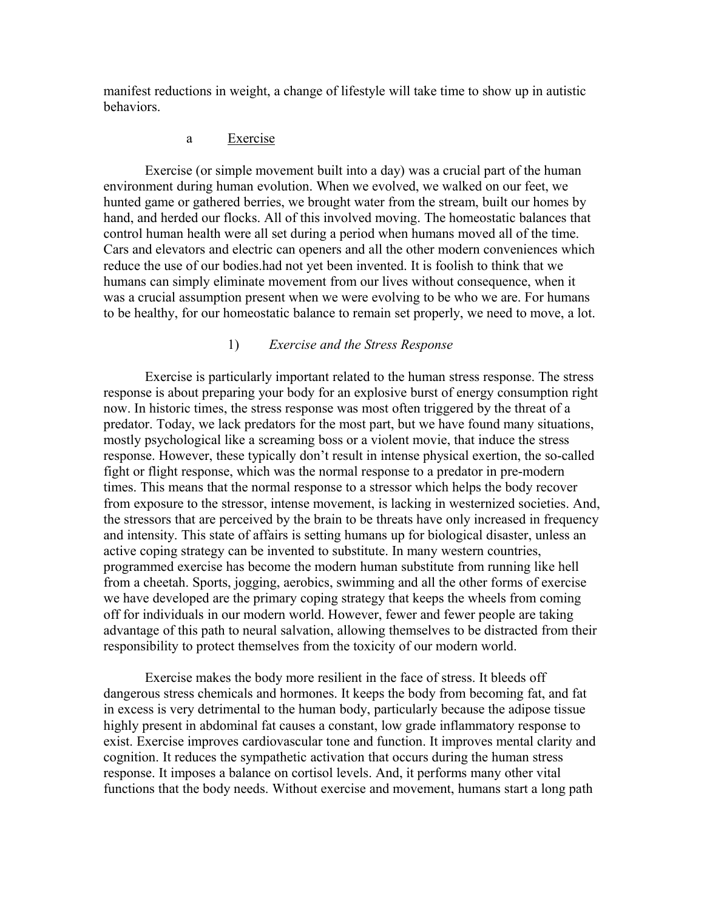manifest reductions in weight, a change of lifestyle will take time to show up in autistic behaviors.

## a Exercise

Exercise (or simple movement built into a day) was a crucial part of the human environment during human evolution. When we evolved, we walked on our feet, we hunted game or gathered berries, we brought water from the stream, built our homes by hand, and herded our flocks. All of this involved moving. The homeostatic balances that control human health were all set during a period when humans moved all of the time. Cars and elevators and electric can openers and all the other modern conveniences which reduce the use of our bodies.had not yet been invented. It is foolish to think that we humans can simply eliminate movement from our lives without consequence, when it was a crucial assumption present when we were evolving to be who we are. For humans to be healthy, for our homeostatic balance to remain set properly, we need to move, a lot.

### 1) *Exercise and the Stress Response*

Exercise is particularly important related to the human stress response. The stress response is about preparing your body for an explosive burst of energy consumption right now. In historic times, the stress response was most often triggered by the threat of a predator. Today, we lack predators for the most part, but we have found many situations, mostly psychological like a screaming boss or a violent movie, that induce the stress response. However, these typically don't result in intense physical exertion, the so-called fight or flight response, which was the normal response to a predator in pre-modern times. This means that the normal response to a stressor which helps the body recover from exposure to the stressor, intense movement, is lacking in westernized societies. And, the stressors that are perceived by the brain to be threats have only increased in frequency and intensity. This state of affairs is setting humans up for biological disaster, unless an active coping strategy can be invented to substitute. In many western countries, programmed exercise has become the modern human substitute from running like hell from a cheetah. Sports, jogging, aerobics, swimming and all the other forms of exercise we have developed are the primary coping strategy that keeps the wheels from coming off for individuals in our modern world. However, fewer and fewer people are taking advantage of this path to neural salvation, allowing themselves to be distracted from their responsibility to protect themselves from the toxicity of our modern world.

Exercise makes the body more resilient in the face of stress. It bleeds off dangerous stress chemicals and hormones. It keeps the body from becoming fat, and fat in excess is very detrimental to the human body, particularly because the adipose tissue highly present in abdominal fat causes a constant, low grade inflammatory response to exist. Exercise improves cardiovascular tone and function. It improves mental clarity and cognition. It reduces the sympathetic activation that occurs during the human stress response. It imposes a balance on cortisol levels. And, it performs many other vital functions that the body needs. Without exercise and movement, humans start a long path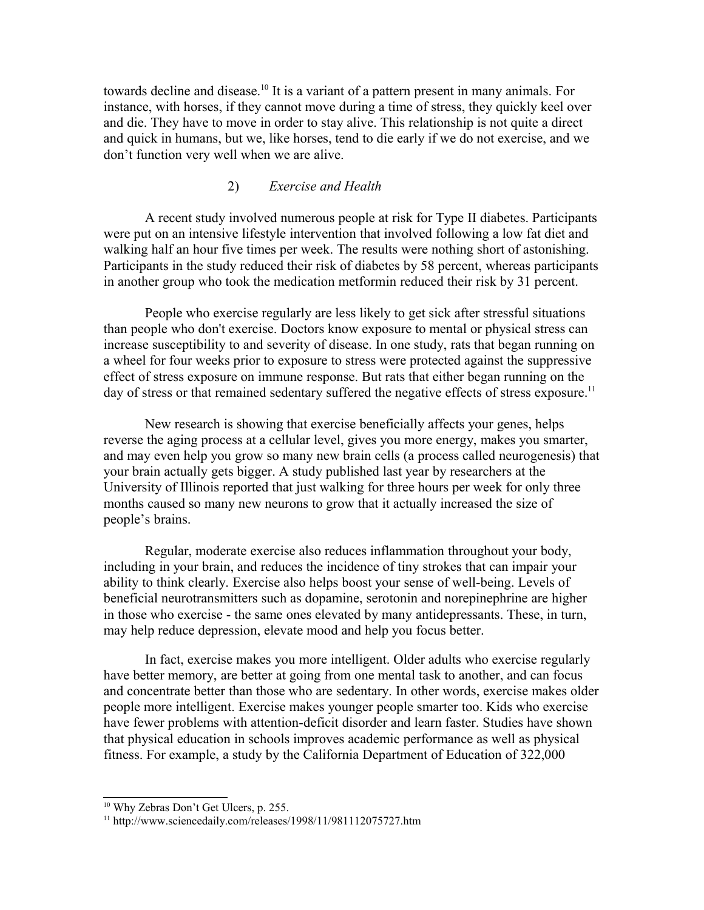towards decline and disease.[10](#page-10-0) It is a variant of a pattern present in many animals. For instance, with horses, if they cannot move during a time of stress, they quickly keel over and die. They have to move in order to stay alive. This relationship is not quite a direct and quick in humans, but we, like horses, tend to die early if we do not exercise, and we don't function very well when we are alive.

#### 2) *Exercise and Health*

A recent study involved numerous people at risk for Type II diabetes. Participants were put on an intensive lifestyle intervention that involved following a low fat diet and walking half an hour five times per week. The results were nothing short of astonishing. Participants in the study reduced their risk of diabetes by 58 percent, whereas participants in another group who took the medication metformin reduced their risk by 31 percent.

People who exercise regularly are less likely to get sick after stressful situations than people who don't exercise. Doctors know exposure to mental or physical stress can increase susceptibility to and severity of disease. In one study, rats that began running on a wheel for four weeks prior to exposure to stress were protected against the suppressive effect of stress exposure on immune response. But rats that either began running on the day of stress or that remained sedentary suffered the negative effects of stress exposure.<sup>[11](#page-10-1)</sup>

New research is showing that exercise beneficially affects your genes, helps reverse the aging process at a cellular level, gives you more energy, makes you smarter, and may even help you grow so many new brain cells (a process called neurogenesis) that your brain actually gets bigger. A study published last year by researchers at the University of Illinois reported that just walking for three hours per week for only three months caused so many new neurons to grow that it actually increased the size of people's brains.

Regular, moderate exercise also reduces inflammation throughout your body, including in your brain, and reduces the incidence of tiny strokes that can impair your ability to think clearly. Exercise also helps boost your sense of well-being. Levels of beneficial neurotransmitters such as dopamine, serotonin and norepinephrine are higher in those who exercise - the same ones elevated by many antidepressants. These, in turn, may help reduce depression, elevate mood and help you focus better.

In fact, exercise makes you more intelligent. Older adults who exercise regularly have better memory, are better at going from one mental task to another, and can focus and concentrate better than those who are sedentary. In other words, exercise makes older people more intelligent. Exercise makes younger people smarter too. Kids who exercise have fewer problems with attention-deficit disorder and learn faster. Studies have shown that physical education in schools improves academic performance as well as physical fitness. For example, a study by the California Department of Education of 322,000

<span id="page-10-0"></span><sup>10</sup> Why Zebras Don't Get Ulcers, p. 255.

<span id="page-10-1"></span><sup>11</sup> http://www.sciencedaily.com/releases/1998/11/981112075727.htm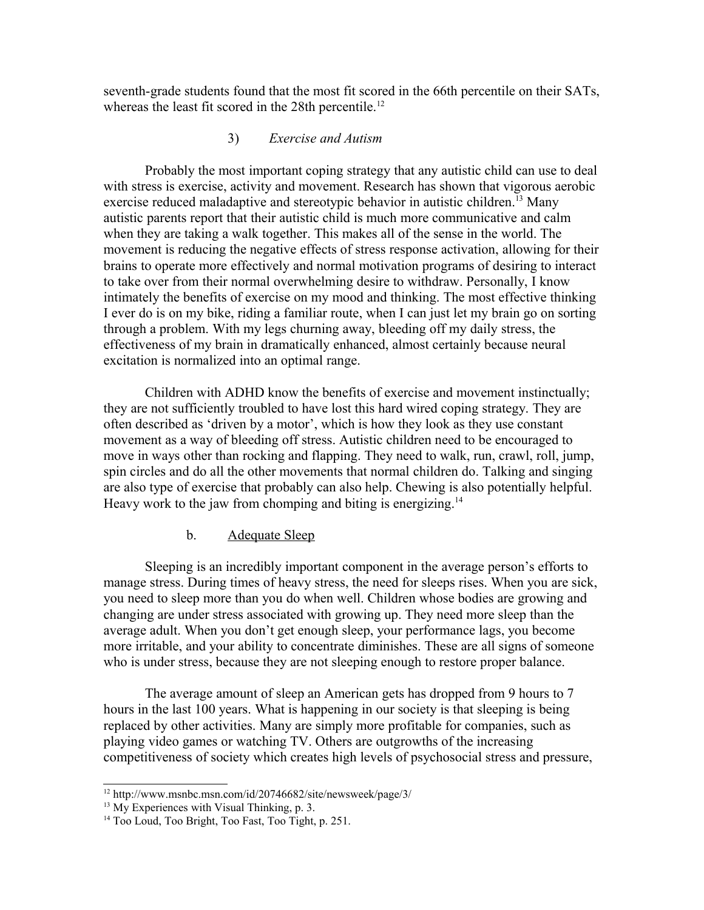seventh-grade students found that the most fit scored in the 66th percentile on their SATs, whereas the least fit scored in the 28th percentile.<sup>[12](#page-11-0)</sup>

## 3) *Exercise and Autism*

Probably the most important coping strategy that any autistic child can use to deal with stress is exercise, activity and movement. Research has shown that vigorous aerobic exercise reduced maladaptive and stereotypic behavior in autistic children.<sup>[13](#page-11-1)</sup> Many autistic parents report that their autistic child is much more communicative and calm when they are taking a walk together. This makes all of the sense in the world. The movement is reducing the negative effects of stress response activation, allowing for their brains to operate more effectively and normal motivation programs of desiring to interact to take over from their normal overwhelming desire to withdraw. Personally, I know intimately the benefits of exercise on my mood and thinking. The most effective thinking I ever do is on my bike, riding a familiar route, when I can just let my brain go on sorting through a problem. With my legs churning away, bleeding off my daily stress, the effectiveness of my brain in dramatically enhanced, almost certainly because neural excitation is normalized into an optimal range.

Children with ADHD know the benefits of exercise and movement instinctually; they are not sufficiently troubled to have lost this hard wired coping strategy. They are often described as 'driven by a motor', which is how they look as they use constant movement as a way of bleeding off stress. Autistic children need to be encouraged to move in ways other than rocking and flapping. They need to walk, run, crawl, roll, jump, spin circles and do all the other movements that normal children do. Talking and singing are also type of exercise that probably can also help. Chewing is also potentially helpful. Heavy work to the jaw from chomping and biting is energizing.<sup>[14](#page-11-2)</sup>

## b. Adequate Sleep

Sleeping is an incredibly important component in the average person's efforts to manage stress. During times of heavy stress, the need for sleeps rises. When you are sick, you need to sleep more than you do when well. Children whose bodies are growing and changing are under stress associated with growing up. They need more sleep than the average adult. When you don't get enough sleep, your performance lags, you become more irritable, and your ability to concentrate diminishes. These are all signs of someone who is under stress, because they are not sleeping enough to restore proper balance.

The average amount of sleep an American gets has dropped from 9 hours to 7 hours in the last 100 years. What is happening in our society is that sleeping is being replaced by other activities. Many are simply more profitable for companies, such as playing video games or watching TV. Others are outgrowths of the increasing competitiveness of society which creates high levels of psychosocial stress and pressure,

<span id="page-11-0"></span><sup>12</sup> http://www.msnbc.msn.com/id/20746682/site/newsweek/page/3/

<span id="page-11-1"></span><sup>&</sup>lt;sup>13</sup> My Experiences with Visual Thinking, p. 3.

<span id="page-11-2"></span><sup>&</sup>lt;sup>14</sup> Too Loud, Too Bright, Too Fast, Too Tight, p. 251.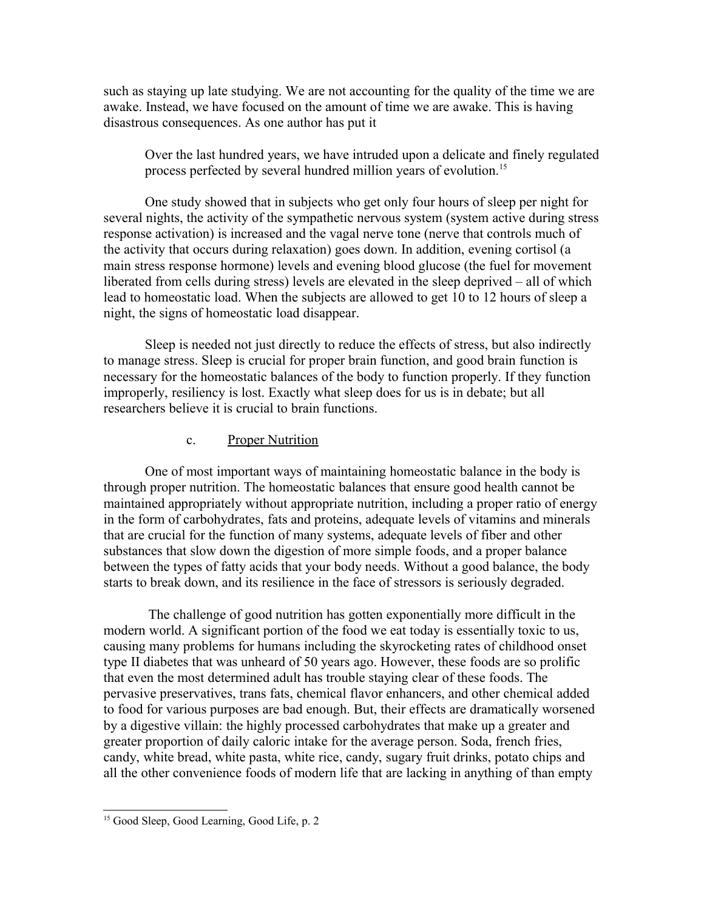such as staying up late studying. We are not accounting for the quality of the time we are awake. Instead, we have focused on the amount of time we are awake. This is having disastrous consequences. As one author has put it

Over the last hundred years, we have intruded upon a delicate and finely regulated process perfected by several hundred million years of evolution.<sup>[15](#page-12-0)</sup>

One study showed that in subjects who get only four hours of sleep per night for several nights, the activity of the sympathetic nervous system (system active during stress response activation) is increased and the vagal nerve tone (nerve that controls much of the activity that occurs during relaxation) goes down. In addition, evening cortisol (a main stress response hormone) levels and evening blood glucose (the fuel for movement liberated from cells during stress) levels are elevated in the sleep deprived – all of which lead to homeostatic load. When the subjects are allowed to get 10 to 12 hours of sleep a night, the signs of homeostatic load disappear.

Sleep is needed not just directly to reduce the effects of stress, but also indirectly to manage stress. Sleep is crucial for proper brain function, and good brain function is necessary for the homeostatic balances of the body to function properly. If they function improperly, resiliency is lost. Exactly what sleep does for us is in debate; but all researchers believe it is crucial to brain functions.

#### c. Proper Nutrition

One of most important ways of maintaining homeostatic balance in the body is through proper nutrition. The homeostatic balances that ensure good health cannot be maintained appropriately without appropriate nutrition, including a proper ratio of energy in the form of carbohydrates, fats and proteins, adequate levels of vitamins and minerals that are crucial for the function of many systems, adequate levels of fiber and other substances that slow down the digestion of more simple foods, and a proper balance between the types of fatty acids that your body needs. Without a good balance, the body starts to break down, and its resilience in the face of stressors is seriously degraded.

 The challenge of good nutrition has gotten exponentially more difficult in the modern world. A significant portion of the food we eat today is essentially toxic to us, causing many problems for humans including the skyrocketing rates of childhood onset type II diabetes that was unheard of 50 years ago. However, these foods are so prolific that even the most determined adult has trouble staying clear of these foods. The pervasive preservatives, trans fats, chemical flavor enhancers, and other chemical added to food for various purposes are bad enough. But, their effects are dramatically worsened by a digestive villain: the highly processed carbohydrates that make up a greater and greater proportion of daily caloric intake for the average person. Soda, french fries, candy, white bread, white pasta, white rice, candy, sugary fruit drinks, potato chips and all the other convenience foods of modern life that are lacking in anything of than empty

<span id="page-12-0"></span><sup>&</sup>lt;sup>15</sup> Good Sleep, Good Learning, Good Life, p. 2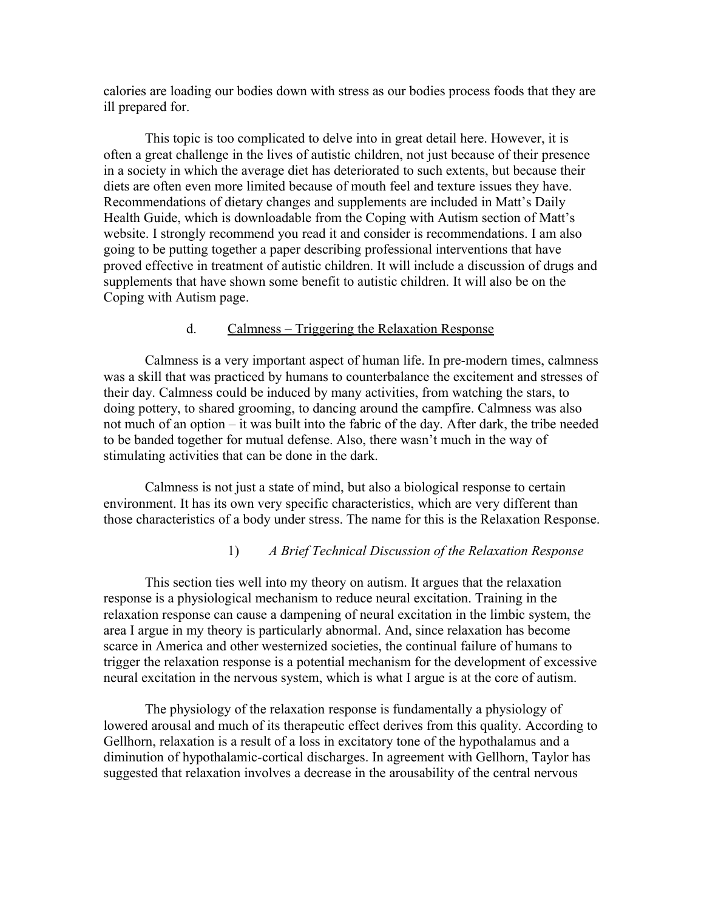calories are loading our bodies down with stress as our bodies process foods that they are ill prepared for.

This topic is too complicated to delve into in great detail here. However, it is often a great challenge in the lives of autistic children, not just because of their presence in a society in which the average diet has deteriorated to such extents, but because their diets are often even more limited because of mouth feel and texture issues they have. Recommendations of dietary changes and supplements are included in Matt's Daily Health Guide, which is downloadable from the Coping with Autism section of Matt's website. I strongly recommend you read it and consider is recommendations. I am also going to be putting together a paper describing professional interventions that have proved effective in treatment of autistic children. It will include a discussion of drugs and supplements that have shown some benefit to autistic children. It will also be on the Coping with Autism page.

#### d. Calmness – Triggering the Relaxation Response

Calmness is a very important aspect of human life. In pre-modern times, calmness was a skill that was practiced by humans to counterbalance the excitement and stresses of their day. Calmness could be induced by many activities, from watching the stars, to doing pottery, to shared grooming, to dancing around the campfire. Calmness was also not much of an option – it was built into the fabric of the day. After dark, the tribe needed to be banded together for mutual defense. Also, there wasn't much in the way of stimulating activities that can be done in the dark.

Calmness is not just a state of mind, but also a biological response to certain environment. It has its own very specific characteristics, which are very different than those characteristics of a body under stress. The name for this is the Relaxation Response.

#### 1) *A Brief Technical Discussion of the Relaxation Response*

This section ties well into my theory on autism. It argues that the relaxation response is a physiological mechanism to reduce neural excitation. Training in the relaxation response can cause a dampening of neural excitation in the limbic system, the area I argue in my theory is particularly abnormal. And, since relaxation has become scarce in America and other westernized societies, the continual failure of humans to trigger the relaxation response is a potential mechanism for the development of excessive neural excitation in the nervous system, which is what I argue is at the core of autism.

The physiology of the relaxation response is fundamentally a physiology of lowered arousal and much of its therapeutic effect derives from this quality. According to Gellhorn, relaxation is a result of a loss in excitatory tone of the hypothalamus and a diminution of hypothalamic-cortical discharges. In agreement with Gellhorn, Taylor has suggested that relaxation involves a decrease in the arousability of the central nervous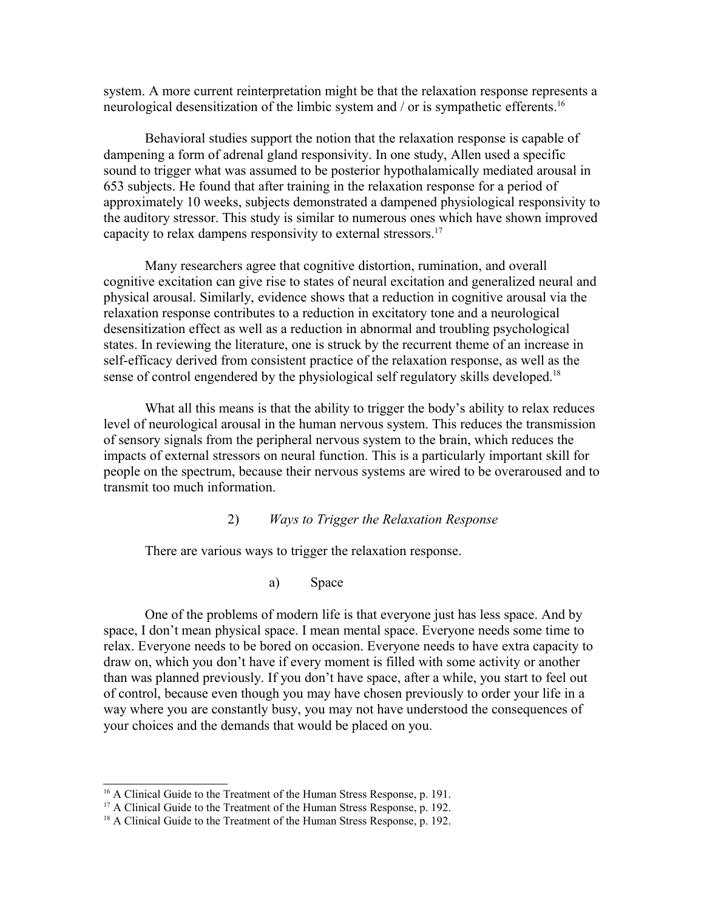system. A more current reinterpretation might be that the relaxation response represents a neurological desensitization of the limbic system and / or is sympathetic efferents.<sup>[16](#page-14-0)</sup>

Behavioral studies support the notion that the relaxation response is capable of dampening a form of adrenal gland responsivity. In one study, Allen used a specific sound to trigger what was assumed to be posterior hypothalamically mediated arousal in 653 subjects. He found that after training in the relaxation response for a period of approximately 10 weeks, subjects demonstrated a dampened physiological responsivity to the auditory stressor. This study is similar to numerous ones which have shown improved capacity to relax dampens responsivity to external stressors.[17](#page-14-1)

Many researchers agree that cognitive distortion, rumination, and overall cognitive excitation can give rise to states of neural excitation and generalized neural and physical arousal. Similarly, evidence shows that a reduction in cognitive arousal via the relaxation response contributes to a reduction in excitatory tone and a neurological desensitization effect as well as a reduction in abnormal and troubling psychological states. In reviewing the literature, one is struck by the recurrent theme of an increase in self-efficacy derived from consistent practice of the relaxation response, as well as the sense of control engendered by the physiological self regulatory skills developed.<sup>[18](#page-14-2)</sup>

What all this means is that the ability to trigger the body's ability to relax reduces level of neurological arousal in the human nervous system. This reduces the transmission of sensory signals from the peripheral nervous system to the brain, which reduces the impacts of external stressors on neural function. This is a particularly important skill for people on the spectrum, because their nervous systems are wired to be overaroused and to transmit too much information.

2) *Ways to Trigger the Relaxation Response*

There are various ways to trigger the relaxation response.

a) Space

One of the problems of modern life is that everyone just has less space. And by space, I don't mean physical space. I mean mental space. Everyone needs some time to relax. Everyone needs to be bored on occasion. Everyone needs to have extra capacity to draw on, which you don't have if every moment is filled with some activity or another than was planned previously. If you don't have space, after a while, you start to feel out of control, because even though you may have chosen previously to order your life in a way where you are constantly busy, you may not have understood the consequences of your choices and the demands that would be placed on you.

<span id="page-14-0"></span><sup>&</sup>lt;sup>16</sup> A Clinical Guide to the Treatment of the Human Stress Response, p. 191.

<span id="page-14-1"></span><sup>&</sup>lt;sup>17</sup> A Clinical Guide to the Treatment of the Human Stress Response, p. 192.

<span id="page-14-2"></span><sup>&</sup>lt;sup>18</sup> A Clinical Guide to the Treatment of the Human Stress Response, p. 192.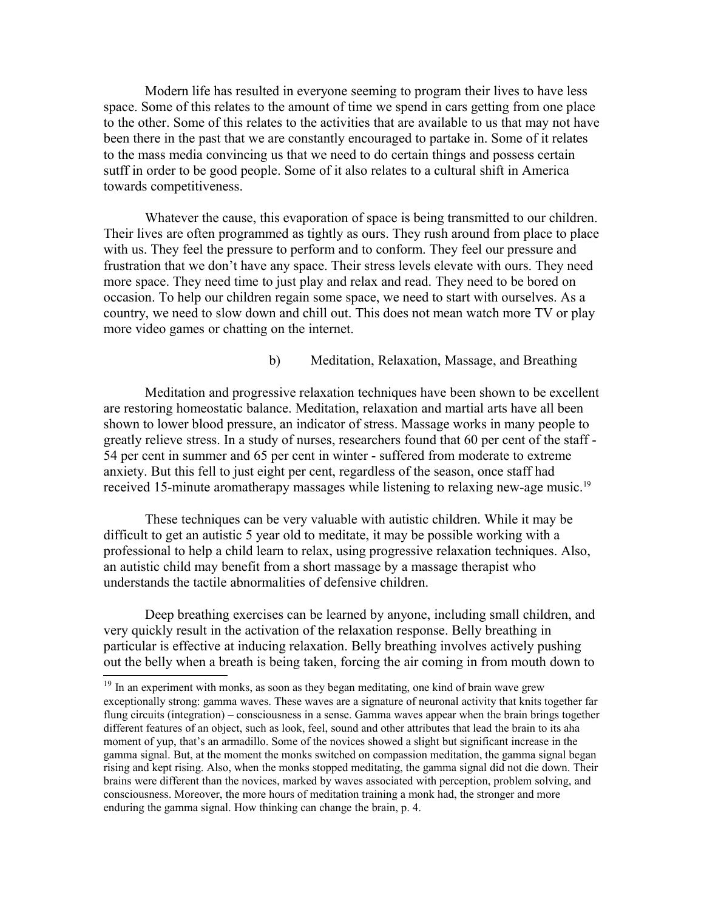Modern life has resulted in everyone seeming to program their lives to have less space. Some of this relates to the amount of time we spend in cars getting from one place to the other. Some of this relates to the activities that are available to us that may not have been there in the past that we are constantly encouraged to partake in. Some of it relates to the mass media convincing us that we need to do certain things and possess certain sutff in order to be good people. Some of it also relates to a cultural shift in America towards competitiveness.

Whatever the cause, this evaporation of space is being transmitted to our children. Their lives are often programmed as tightly as ours. They rush around from place to place with us. They feel the pressure to perform and to conform. They feel our pressure and frustration that we don't have any space. Their stress levels elevate with ours. They need more space. They need time to just play and relax and read. They need to be bored on occasion. To help our children regain some space, we need to start with ourselves. As a country, we need to slow down and chill out. This does not mean watch more TV or play more video games or chatting on the internet.

#### b) Meditation, Relaxation, Massage, and Breathing

Meditation and progressive relaxation techniques have been shown to be excellent are restoring homeostatic balance. Meditation, relaxation and martial arts have all been shown to lower blood pressure, an indicator of stress. Massage works in many people to greatly relieve stress. In a study of nurses, researchers found that 60 per cent of the staff - 54 per cent in summer and 65 per cent in winter - suffered from moderate to extreme anxiety. But this fell to just eight per cent, regardless of the season, once staff had received 15-minute aromatherapy massages while listening to relaxing new-age music.<sup>[19](#page-15-0)</sup>

These techniques can be very valuable with autistic children. While it may be difficult to get an autistic 5 year old to meditate, it may be possible working with a professional to help a child learn to relax, using progressive relaxation techniques. Also, an autistic child may benefit from a short massage by a massage therapist who understands the tactile abnormalities of defensive children.

Deep breathing exercises can be learned by anyone, including small children, and very quickly result in the activation of the relaxation response. Belly breathing in particular is effective at inducing relaxation. Belly breathing involves actively pushing out the belly when a breath is being taken, forcing the air coming in from mouth down to

<span id="page-15-0"></span><sup>&</sup>lt;sup>19</sup> In an experiment with monks, as soon as they began meditating, one kind of brain wave grew exceptionally strong: gamma waves. These waves are a signature of neuronal activity that knits together far flung circuits (integration) – consciousness in a sense. Gamma waves appear when the brain brings together different features of an object, such as look, feel, sound and other attributes that lead the brain to its aha moment of yup, that's an armadillo. Some of the novices showed a slight but significant increase in the gamma signal. But, at the moment the monks switched on compassion meditation, the gamma signal began rising and kept rising. Also, when the monks stopped meditating, the gamma signal did not die down. Their brains were different than the novices, marked by waves associated with perception, problem solving, and consciousness. Moreover, the more hours of meditation training a monk had, the stronger and more enduring the gamma signal. How thinking can change the brain, p. 4.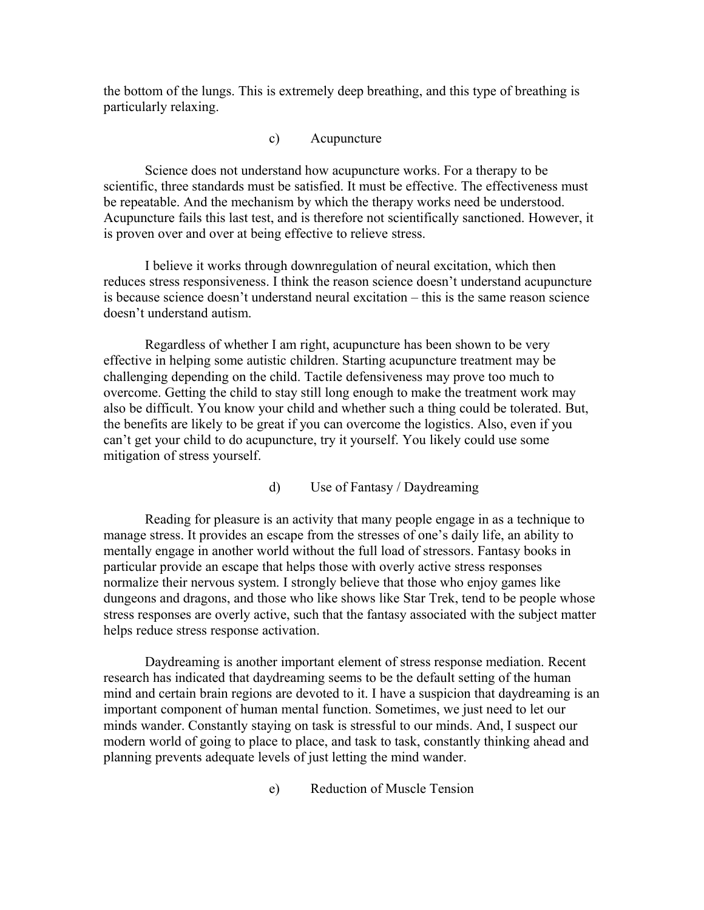the bottom of the lungs. This is extremely deep breathing, and this type of breathing is particularly relaxing.

### c) Acupuncture

Science does not understand how acupuncture works. For a therapy to be scientific, three standards must be satisfied. It must be effective. The effectiveness must be repeatable. And the mechanism by which the therapy works need be understood. Acupuncture fails this last test, and is therefore not scientifically sanctioned. However, it is proven over and over at being effective to relieve stress.

I believe it works through downregulation of neural excitation, which then reduces stress responsiveness. I think the reason science doesn't understand acupuncture is because science doesn't understand neural excitation – this is the same reason science doesn't understand autism.

Regardless of whether I am right, acupuncture has been shown to be very effective in helping some autistic children. Starting acupuncture treatment may be challenging depending on the child. Tactile defensiveness may prove too much to overcome. Getting the child to stay still long enough to make the treatment work may also be difficult. You know your child and whether such a thing could be tolerated. But, the benefits are likely to be great if you can overcome the logistics. Also, even if you can't get your child to do acupuncture, try it yourself. You likely could use some mitigation of stress yourself.

## d) Use of Fantasy / Daydreaming

Reading for pleasure is an activity that many people engage in as a technique to manage stress. It provides an escape from the stresses of one's daily life, an ability to mentally engage in another world without the full load of stressors. Fantasy books in particular provide an escape that helps those with overly active stress responses normalize their nervous system. I strongly believe that those who enjoy games like dungeons and dragons, and those who like shows like Star Trek, tend to be people whose stress responses are overly active, such that the fantasy associated with the subject matter helps reduce stress response activation.

Daydreaming is another important element of stress response mediation. Recent research has indicated that daydreaming seems to be the default setting of the human mind and certain brain regions are devoted to it. I have a suspicion that daydreaming is an important component of human mental function. Sometimes, we just need to let our minds wander. Constantly staying on task is stressful to our minds. And, I suspect our modern world of going to place to place, and task to task, constantly thinking ahead and planning prevents adequate levels of just letting the mind wander.

e) Reduction of Muscle Tension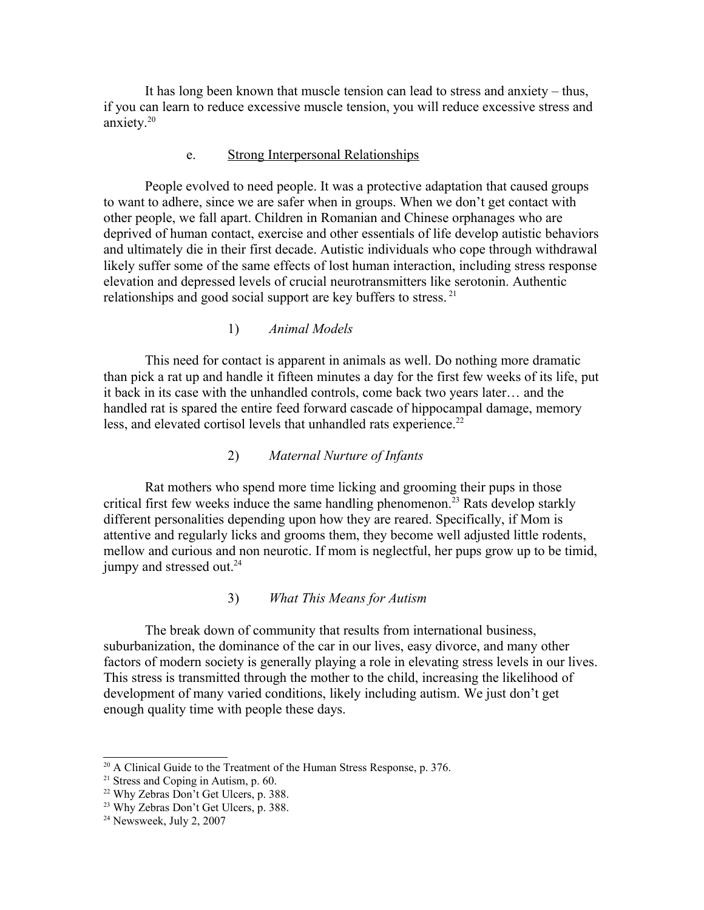It has long been known that muscle tension can lead to stress and anxiety – thus, if you can learn to reduce excessive muscle tension, you will reduce excessive stress and anxiety.<sup>[20](#page-17-0)</sup>

#### e. Strong Interpersonal Relationships

People evolved to need people. It was a protective adaptation that caused groups to want to adhere, since we are safer when in groups. When we don't get contact with other people, we fall apart. Children in Romanian and Chinese orphanages who are deprived of human contact, exercise and other essentials of life develop autistic behaviors and ultimately die in their first decade. Autistic individuals who cope through withdrawal likely suffer some of the same effects of lost human interaction, including stress response elevation and depressed levels of crucial neurotransmitters like serotonin. Authentic relationships and good social support are key buffers to stress.<sup>[21](#page-17-1)</sup>

#### 1) *Animal Models*

This need for contact is apparent in animals as well. Do nothing more dramatic than pick a rat up and handle it fifteen minutes a day for the first few weeks of its life, put it back in its case with the unhandled controls, come back two years later… and the handled rat is spared the entire feed forward cascade of hippocampal damage, memory less, and elevated cortisol levels that unhandled rats experience.<sup>[22](#page-17-2)</sup>

#### 2) *Maternal Nurture of Infants*

Rat mothers who spend more time licking and grooming their pups in those critical first few weeks induce the same handling phenomenon.<sup>[23](#page-17-3)</sup> Rats develop starkly different personalities depending upon how they are reared. Specifically, if Mom is attentive and regularly licks and grooms them, they become well adjusted little rodents, mellow and curious and non neurotic. If mom is neglectful, her pups grow up to be timid, jumpy and stressed out.<sup>[24](#page-17-4)</sup>

#### 3) *What This Means for Autism*

The break down of community that results from international business, suburbanization, the dominance of the car in our lives, easy divorce, and many other factors of modern society is generally playing a role in elevating stress levels in our lives. This stress is transmitted through the mother to the child, increasing the likelihood of development of many varied conditions, likely including autism. We just don't get enough quality time with people these days.

<span id="page-17-0"></span><sup>&</sup>lt;sup>20</sup> A Clinical Guide to the Treatment of the Human Stress Response, p. 376.

<span id="page-17-1"></span> $21$  Stress and Coping in Autism, p. 60.

<span id="page-17-2"></span><sup>&</sup>lt;sup>22</sup> Why Zebras Don't Get Ulcers, p. 388.

<span id="page-17-3"></span><sup>23</sup> Why Zebras Don't Get Ulcers, p. 388.

<span id="page-17-4"></span> $24$  Newsweek, July 2, 2007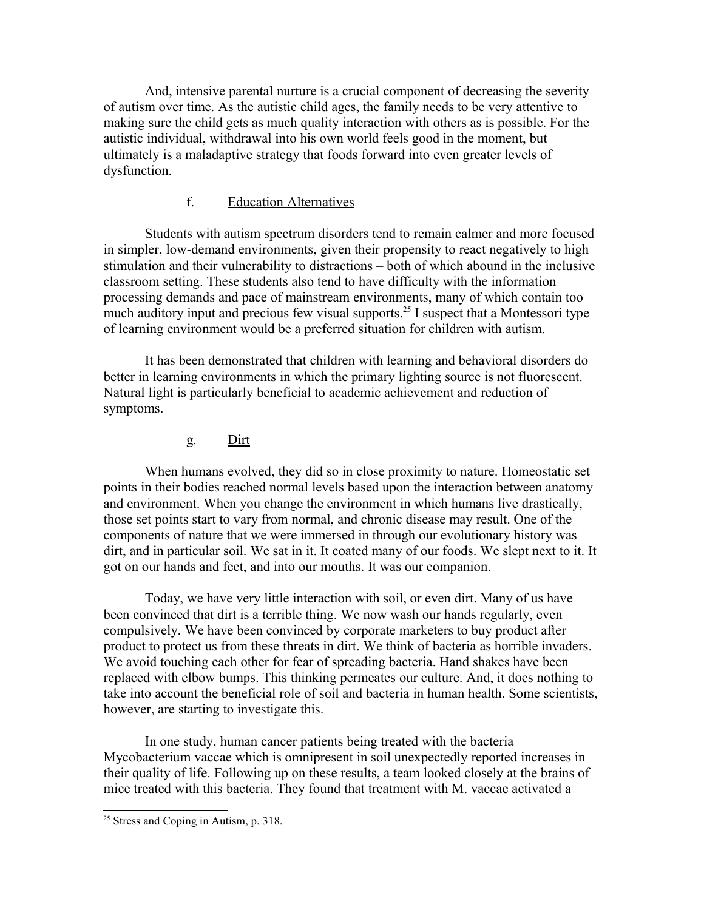And, intensive parental nurture is a crucial component of decreasing the severity of autism over time. As the autistic child ages, the family needs to be very attentive to making sure the child gets as much quality interaction with others as is possible. For the autistic individual, withdrawal into his own world feels good in the moment, but ultimately is a maladaptive strategy that foods forward into even greater levels of dysfunction.

## f. Education Alternatives

Students with autism spectrum disorders tend to remain calmer and more focused in simpler, low-demand environments, given their propensity to react negatively to high stimulation and their vulnerability to distractions – both of which abound in the inclusive classroom setting. These students also tend to have difficulty with the information processing demands and pace of mainstream environments, many of which contain too much auditory input and precious few visual supports.<sup>[25](#page-18-0)</sup> I suspect that a Montessori type of learning environment would be a preferred situation for children with autism.

It has been demonstrated that children with learning and behavioral disorders do better in learning environments in which the primary lighting source is not fluorescent. Natural light is particularly beneficial to academic achievement and reduction of symptoms.

#### g*.* Dirt

When humans evolved, they did so in close proximity to nature. Homeostatic set points in their bodies reached normal levels based upon the interaction between anatomy and environment. When you change the environment in which humans live drastically, those set points start to vary from normal, and chronic disease may result. One of the components of nature that we were immersed in through our evolutionary history was dirt, and in particular soil. We sat in it. It coated many of our foods. We slept next to it. It got on our hands and feet, and into our mouths. It was our companion.

Today, we have very little interaction with soil, or even dirt. Many of us have been convinced that dirt is a terrible thing. We now wash our hands regularly, even compulsively. We have been convinced by corporate marketers to buy product after product to protect us from these threats in dirt. We think of bacteria as horrible invaders. We avoid touching each other for fear of spreading bacteria. Hand shakes have been replaced with elbow bumps. This thinking permeates our culture. And, it does nothing to take into account the beneficial role of soil and bacteria in human health. Some scientists, however, are starting to investigate this.

In one study, human cancer patients being treated with the bacteria Mycobacterium vaccae which is omnipresent in soil unexpectedly reported increases in their quality of life. Following up on these results, a team looked closely at the brains of mice treated with this bacteria. They found that treatment with M. vaccae activated a

<span id="page-18-0"></span><sup>25</sup> Stress and Coping in Autism, p. 318.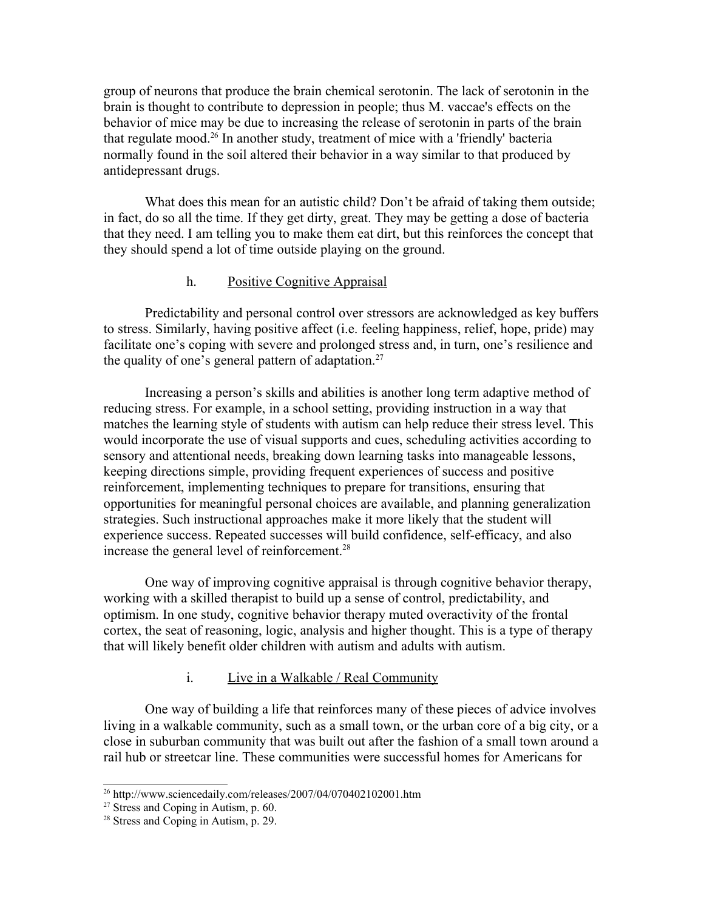group of neurons that produce the brain chemical serotonin. The lack of serotonin in the brain is thought to contribute to depression in people; thus M. vaccae's effects on the behavior of mice may be due to increasing the release of serotonin in parts of the brain that regulate mood. [26](#page-19-0) In another study, treatment of mice with a 'friendly' bacteria normally found in the soil altered their behavior in a way similar to that produced by antidepressant drugs.

What does this mean for an autistic child? Don't be afraid of taking them outside; in fact, do so all the time. If they get dirty, great. They may be getting a dose of bacteria that they need. I am telling you to make them eat dirt, but this reinforces the concept that they should spend a lot of time outside playing on the ground.

### h. Positive Cognitive Appraisal

Predictability and personal control over stressors are acknowledged as key buffers to stress. Similarly, having positive affect (i.e. feeling happiness, relief, hope, pride) may facilitate one's coping with severe and prolonged stress and, in turn, one's resilience and the quality of one's general pattern of adaptation.<sup>[27](#page-19-1)</sup>

Increasing a person's skills and abilities is another long term adaptive method of reducing stress. For example, in a school setting, providing instruction in a way that matches the learning style of students with autism can help reduce their stress level. This would incorporate the use of visual supports and cues, scheduling activities according to sensory and attentional needs, breaking down learning tasks into manageable lessons, keeping directions simple, providing frequent experiences of success and positive reinforcement, implementing techniques to prepare for transitions, ensuring that opportunities for meaningful personal choices are available, and planning generalization strategies. Such instructional approaches make it more likely that the student will experience success. Repeated successes will build confidence, self-efficacy, and also increase the general level of reinforcement.[28](#page-19-2)

One way of improving cognitive appraisal is through cognitive behavior therapy, working with a skilled therapist to build up a sense of control, predictability, and optimism. In one study, cognitive behavior therapy muted overactivity of the frontal cortex, the seat of reasoning, logic, analysis and higher thought. This is a type of therapy that will likely benefit older children with autism and adults with autism.

## i. Live in a Walkable / Real Community

One way of building a life that reinforces many of these pieces of advice involves living in a walkable community, such as a small town, or the urban core of a big city, or a close in suburban community that was built out after the fashion of a small town around a rail hub or streetcar line. These communities were successful homes for Americans for

<span id="page-19-0"></span> $^{26}$  http://www.sciencedaily.com/releases/2007/04/070402102001.htm

<span id="page-19-1"></span><sup>27</sup> Stress and Coping in Autism, p. 60.

<span id="page-19-2"></span><sup>28</sup> Stress and Coping in Autism, p. 29.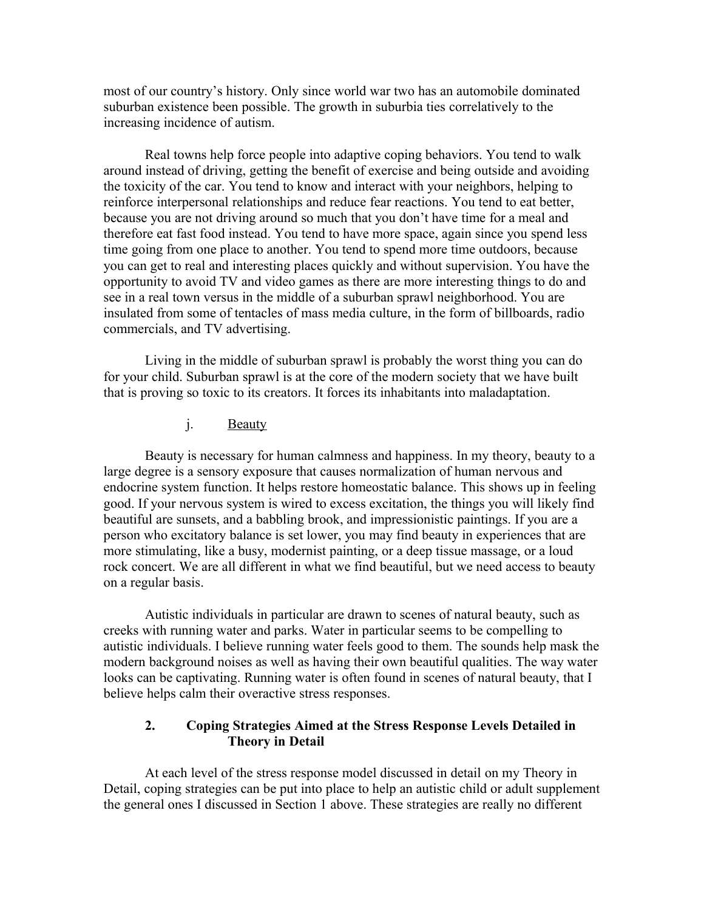most of our country's history. Only since world war two has an automobile dominated suburban existence been possible. The growth in suburbia ties correlatively to the increasing incidence of autism.

Real towns help force people into adaptive coping behaviors. You tend to walk around instead of driving, getting the benefit of exercise and being outside and avoiding the toxicity of the car. You tend to know and interact with your neighbors, helping to reinforce interpersonal relationships and reduce fear reactions. You tend to eat better, because you are not driving around so much that you don't have time for a meal and therefore eat fast food instead. You tend to have more space, again since you spend less time going from one place to another. You tend to spend more time outdoors, because you can get to real and interesting places quickly and without supervision. You have the opportunity to avoid TV and video games as there are more interesting things to do and see in a real town versus in the middle of a suburban sprawl neighborhood. You are insulated from some of tentacles of mass media culture, in the form of billboards, radio commercials, and TV advertising.

Living in the middle of suburban sprawl is probably the worst thing you can do for your child. Suburban sprawl is at the core of the modern society that we have built that is proving so toxic to its creators. It forces its inhabitants into maladaptation.

j. Beauty

Beauty is necessary for human calmness and happiness. In my theory, beauty to a large degree is a sensory exposure that causes normalization of human nervous and endocrine system function. It helps restore homeostatic balance. This shows up in feeling good. If your nervous system is wired to excess excitation, the things you will likely find beautiful are sunsets, and a babbling brook, and impressionistic paintings. If you are a person who excitatory balance is set lower, you may find beauty in experiences that are more stimulating, like a busy, modernist painting, or a deep tissue massage, or a loud rock concert. We are all different in what we find beautiful, but we need access to beauty on a regular basis.

Autistic individuals in particular are drawn to scenes of natural beauty, such as creeks with running water and parks. Water in particular seems to be compelling to autistic individuals. I believe running water feels good to them. The sounds help mask the modern background noises as well as having their own beautiful qualities. The way water looks can be captivating. Running water is often found in scenes of natural beauty, that I believe helps calm their overactive stress responses.

### **2. Coping Strategies Aimed at the Stress Response Levels Detailed in Theory in Detail**

At each level of the stress response model discussed in detail on my Theory in Detail, coping strategies can be put into place to help an autistic child or adult supplement the general ones I discussed in Section 1 above. These strategies are really no different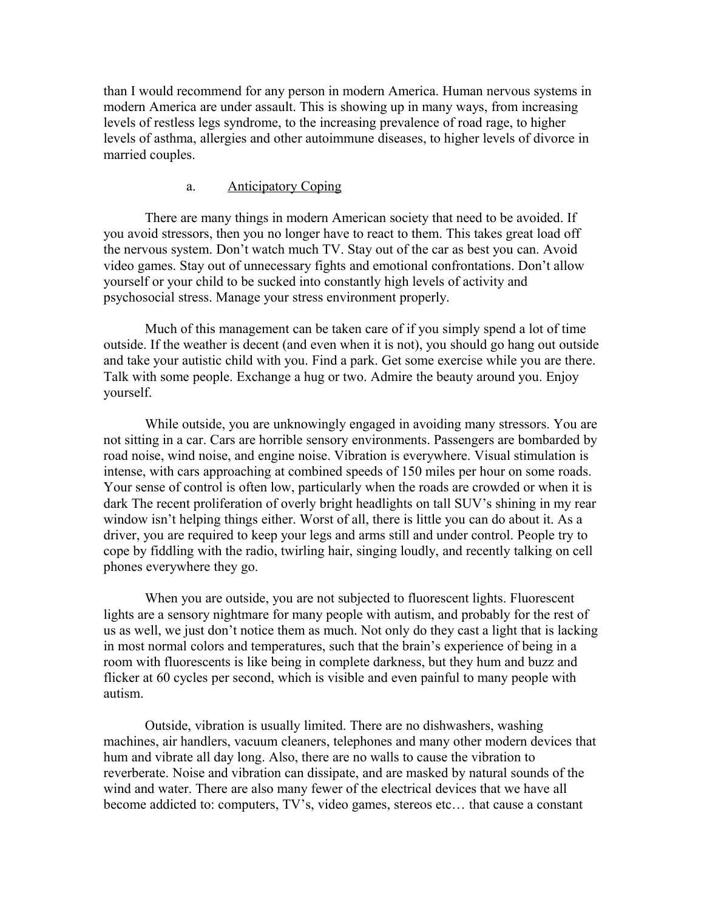than I would recommend for any person in modern America. Human nervous systems in modern America are under assault. This is showing up in many ways, from increasing levels of restless legs syndrome, to the increasing prevalence of road rage, to higher levels of asthma, allergies and other autoimmune diseases, to higher levels of divorce in married couples.

## a. Anticipatory Coping

There are many things in modern American society that need to be avoided. If you avoid stressors, then you no longer have to react to them. This takes great load off the nervous system. Don't watch much TV. Stay out of the car as best you can. Avoid video games. Stay out of unnecessary fights and emotional confrontations. Don't allow yourself or your child to be sucked into constantly high levels of activity and psychosocial stress. Manage your stress environment properly.

Much of this management can be taken care of if you simply spend a lot of time outside. If the weather is decent (and even when it is not), you should go hang out outside and take your autistic child with you. Find a park. Get some exercise while you are there. Talk with some people. Exchange a hug or two. Admire the beauty around you. Enjoy yourself.

While outside, you are unknowingly engaged in avoiding many stressors. You are not sitting in a car. Cars are horrible sensory environments. Passengers are bombarded by road noise, wind noise, and engine noise. Vibration is everywhere. Visual stimulation is intense, with cars approaching at combined speeds of 150 miles per hour on some roads. Your sense of control is often low, particularly when the roads are crowded or when it is dark The recent proliferation of overly bright headlights on tall SUV's shining in my rear window isn't helping things either. Worst of all, there is little you can do about it. As a driver, you are required to keep your legs and arms still and under control. People try to cope by fiddling with the radio, twirling hair, singing loudly, and recently talking on cell phones everywhere they go.

When you are outside, you are not subjected to fluorescent lights. Fluorescent lights are a sensory nightmare for many people with autism, and probably for the rest of us as well, we just don't notice them as much. Not only do they cast a light that is lacking in most normal colors and temperatures, such that the brain's experience of being in a room with fluorescents is like being in complete darkness, but they hum and buzz and flicker at 60 cycles per second, which is visible and even painful to many people with autism.

Outside, vibration is usually limited. There are no dishwashers, washing machines, air handlers, vacuum cleaners, telephones and many other modern devices that hum and vibrate all day long. Also, there are no walls to cause the vibration to reverberate. Noise and vibration can dissipate, and are masked by natural sounds of the wind and water. There are also many fewer of the electrical devices that we have all become addicted to: computers, TV's, video games, stereos etc… that cause a constant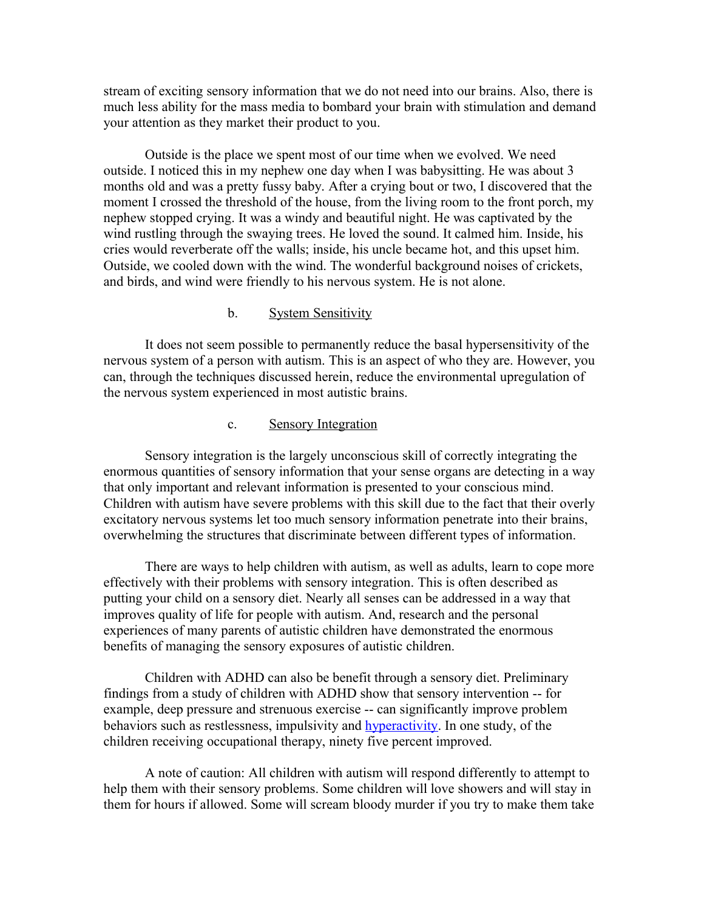stream of exciting sensory information that we do not need into our brains. Also, there is much less ability for the mass media to bombard your brain with stimulation and demand your attention as they market their product to you.

Outside is the place we spent most of our time when we evolved. We need outside. I noticed this in my nephew one day when I was babysitting. He was about 3 months old and was a pretty fussy baby. After a crying bout or two, I discovered that the moment I crossed the threshold of the house, from the living room to the front porch, my nephew stopped crying. It was a windy and beautiful night. He was captivated by the wind rustling through the swaying trees. He loved the sound. It calmed him. Inside, his cries would reverberate off the walls; inside, his uncle became hot, and this upset him. Outside, we cooled down with the wind. The wonderful background noises of crickets, and birds, and wind were friendly to his nervous system. He is not alone.

#### b. System Sensitivity

It does not seem possible to permanently reduce the basal hypersensitivity of the nervous system of a person with autism. This is an aspect of who they are. However, you can, through the techniques discussed herein, reduce the environmental upregulation of the nervous system experienced in most autistic brains.

#### c. Sensory Integration

Sensory integration is the largely unconscious skill of correctly integrating the enormous quantities of sensory information that your sense organs are detecting in a way that only important and relevant information is presented to your conscious mind. Children with autism have severe problems with this skill due to the fact that their overly excitatory nervous systems let too much sensory information penetrate into their brains, overwhelming the structures that discriminate between different types of information.

There are ways to help children with autism, as well as adults, learn to cope more effectively with their problems with sensory integration. This is often described as putting your child on a sensory diet. Nearly all senses can be addressed in a way that improves quality of life for people with autism. And, research and the personal experiences of many parents of autistic children have demonstrated the enormous benefits of managing the sensory exposures of autistic children.

Children with ADHD can also be benefit through a sensory diet. Preliminary findings from a study of children with ADHD show that sensory intervention -- for example, deep pressure and strenuous exercise -- can significantly improve problem behaviors such as restlessness, impulsivity and [hyperactivity.](http://www.sciencedaily.com/releases/2005/05/050513103548.htm) In one study, of the children receiving occupational therapy, ninety five percent improved.

A note of caution: All children with autism will respond differently to attempt to help them with their sensory problems. Some children will love showers and will stay in them for hours if allowed. Some will scream bloody murder if you try to make them take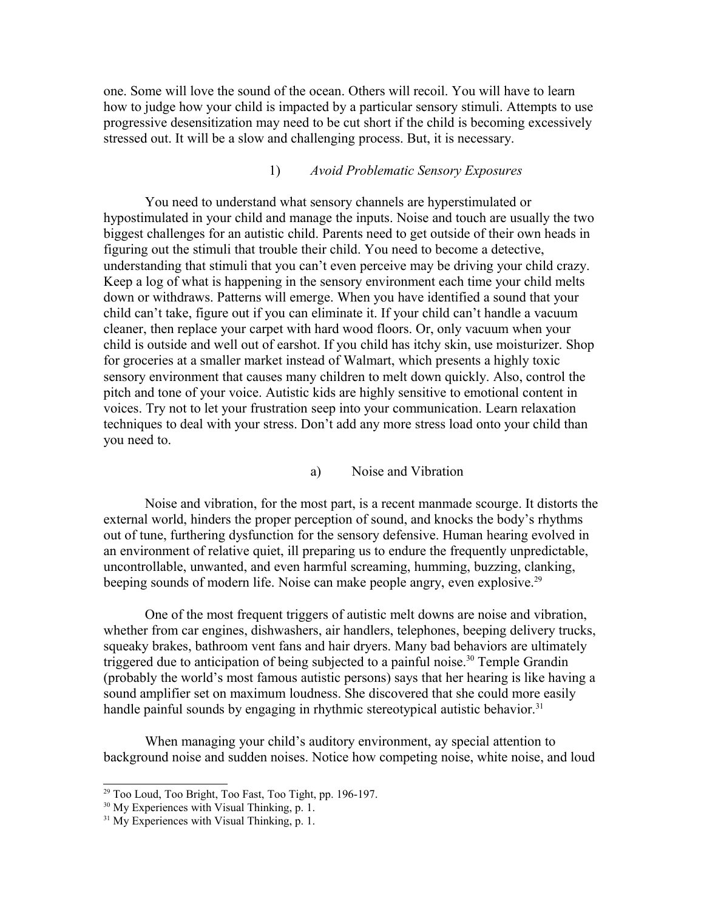one. Some will love the sound of the ocean. Others will recoil. You will have to learn how to judge how your child is impacted by a particular sensory stimuli. Attempts to use progressive desensitization may need to be cut short if the child is becoming excessively stressed out. It will be a slow and challenging process. But, it is necessary.

#### 1) *Avoid Problematic Sensory Exposures*

You need to understand what sensory channels are hyperstimulated or hypostimulated in your child and manage the inputs. Noise and touch are usually the two biggest challenges for an autistic child. Parents need to get outside of their own heads in figuring out the stimuli that trouble their child. You need to become a detective, understanding that stimuli that you can't even perceive may be driving your child crazy. Keep a log of what is happening in the sensory environment each time your child melts down or withdraws. Patterns will emerge. When you have identified a sound that your child can't take, figure out if you can eliminate it. If your child can't handle a vacuum cleaner, then replace your carpet with hard wood floors. Or, only vacuum when your child is outside and well out of earshot. If you child has itchy skin, use moisturizer. Shop for groceries at a smaller market instead of Walmart, which presents a highly toxic sensory environment that causes many children to melt down quickly. Also, control the pitch and tone of your voice. Autistic kids are highly sensitive to emotional content in voices. Try not to let your frustration seep into your communication. Learn relaxation techniques to deal with your stress. Don't add any more stress load onto your child than you need to.

#### a) Noise and Vibration

Noise and vibration, for the most part, is a recent manmade scourge. It distorts the external world, hinders the proper perception of sound, and knocks the body's rhythms out of tune, furthering dysfunction for the sensory defensive. Human hearing evolved in an environment of relative quiet, ill preparing us to endure the frequently unpredictable, uncontrollable, unwanted, and even harmful screaming, humming, buzzing, clanking, beeping sounds of modern life. Noise can make people angry, even explosive.<sup>[29](#page-23-0)</sup>

One of the most frequent triggers of autistic melt downs are noise and vibration, whether from car engines, dishwashers, air handlers, telephones, beeping delivery trucks, squeaky brakes, bathroom vent fans and hair dryers. Many bad behaviors are ultimately triggered due to anticipation of being subjected to a painful noise.<sup>[30](#page-23-1)</sup> Temple Grandin (probably the world's most famous autistic persons) says that her hearing is like having a sound amplifier set on maximum loudness. She discovered that she could more easily handle painful sounds by engaging in rhythmic stereotypical autistic behavior.<sup>[31](#page-23-2)</sup>

When managing your child's auditory environment, ay special attention to background noise and sudden noises. Notice how competing noise, white noise, and loud

<span id="page-23-0"></span> $29$  Too Loud, Too Bright, Too Fast, Too Tight, pp. 196-197.

<span id="page-23-1"></span><sup>&</sup>lt;sup>30</sup> My Experiences with Visual Thinking, p. 1.

<span id="page-23-2"></span><sup>&</sup>lt;sup>31</sup> My Experiences with Visual Thinking, p. 1.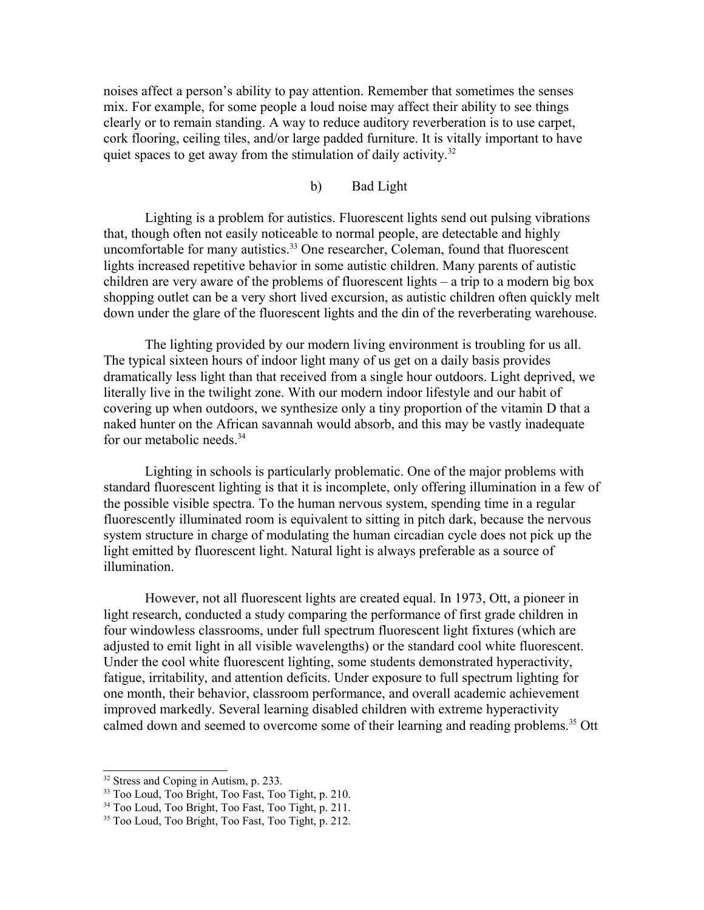noises affect a person's ability to pay attention. Remember that sometimes the senses mix. For example, for some people a loud noise may affect their ability to see things clearly or to remain standing. A way to reduce auditory reverberation is to use carpet, cork flooring, ceiling tiles, and/or large padded furniture. It is vitally important to have quiet spaces to get away from the stimulation of daily activity.<sup>[32](#page-24-0)</sup>

#### b) Bad Light

Lighting is a problem for autistics. Fluorescent lights send out pulsing vibrations that, though often not easily noticeable to normal people, are detectable and highly uncomfortable for many autistics.<sup>[33](#page-24-1)</sup> One researcher, Coleman, found that fluorescent lights increased repetitive behavior in some autistic children. Many parents of autistic children are very aware of the problems of fluorescent lights – a trip to a modern big box shopping outlet can be a very short lived excursion, as autistic children often quickly melt down under the glare of the fluorescent lights and the din of the reverberating warehouse.

The lighting provided by our modern living environment is troubling for us all. The typical sixteen hours of indoor light many of us get on a daily basis provides dramatically less light than that received from a single hour outdoors. Light deprived, we literally live in the twilight zone. With our modern indoor lifestyle and our habit of covering up when outdoors, we synthesize only a tiny proportion of the vitamin D that a naked hunter on the African savannah would absorb, and this may be vastly inadequate for our metabolic needs.<sup>[34](#page-24-2)</sup>

Lighting in schools is particularly problematic. One of the major problems with standard fluorescent lighting is that it is incomplete, only offering illumination in a few of the possible visible spectra. To the human nervous system, spending time in a regular fluorescently illuminated room is equivalent to sitting in pitch dark, because the nervous system structure in charge of modulating the human circadian cycle does not pick up the light emitted by fluorescent light. Natural light is always preferable as a source of illumination.

However, not all fluorescent lights are created equal. In 1973, Ott, a pioneer in light research, conducted a study comparing the performance of first grade children in four windowless classrooms, under full spectrum fluorescent light fixtures (which are adjusted to emit light in all visible wavelengths) or the standard cool white fluorescent. Under the cool white fluorescent lighting, some students demonstrated hyperactivity, fatigue, irritability, and attention deficits. Under exposure to full spectrum lighting for one month, their behavior, classroom performance, and overall academic achievement improved markedly. Several learning disabled children with extreme hyperactivity calmed down and seemed to overcome some of their learning and reading problems.<sup>[35](#page-24-3)</sup> Ott

<span id="page-24-0"></span><sup>&</sup>lt;sup>32</sup> Stress and Coping in Autism, p. 233.

<span id="page-24-1"></span><sup>&</sup>lt;sup>33</sup> Too Loud, Too Bright, Too Fast, Too Tight, p. 210.

<span id="page-24-2"></span><sup>34</sup> Too Loud, Too Bright, Too Fast, Too Tight, p. 211.

<span id="page-24-3"></span><sup>35</sup> Too Loud, Too Bright, Too Fast, Too Tight, p. 212.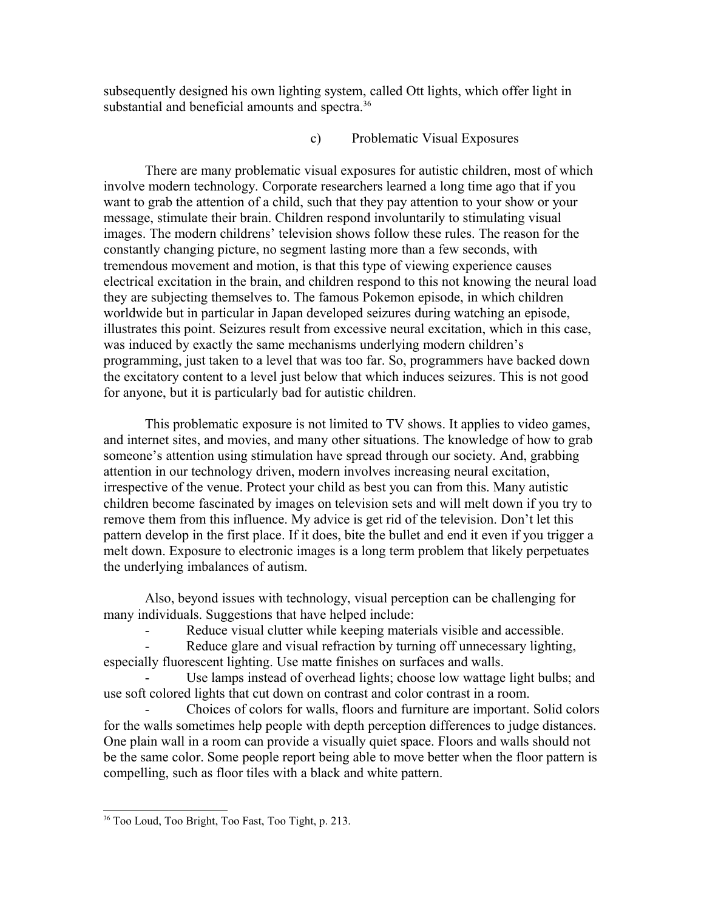subsequently designed his own lighting system, called Ott lights, which offer light in substantial and beneficial amounts and spectra.<sup>[36](#page-25-0)</sup>

## c) Problematic Visual Exposures

There are many problematic visual exposures for autistic children, most of which involve modern technology. Corporate researchers learned a long time ago that if you want to grab the attention of a child, such that they pay attention to your show or your message, stimulate their brain. Children respond involuntarily to stimulating visual images. The modern childrens' television shows follow these rules. The reason for the constantly changing picture, no segment lasting more than a few seconds, with tremendous movement and motion, is that this type of viewing experience causes electrical excitation in the brain, and children respond to this not knowing the neural load they are subjecting themselves to. The famous Pokemon episode, in which children worldwide but in particular in Japan developed seizures during watching an episode, illustrates this point. Seizures result from excessive neural excitation, which in this case, was induced by exactly the same mechanisms underlying modern children's programming, just taken to a level that was too far. So, programmers have backed down the excitatory content to a level just below that which induces seizures. This is not good for anyone, but it is particularly bad for autistic children.

This problematic exposure is not limited to TV shows. It applies to video games, and internet sites, and movies, and many other situations. The knowledge of how to grab someone's attention using stimulation have spread through our society. And, grabbing attention in our technology driven, modern involves increasing neural excitation, irrespective of the venue. Protect your child as best you can from this. Many autistic children become fascinated by images on television sets and will melt down if you try to remove them from this influence. My advice is get rid of the television. Don't let this pattern develop in the first place. If it does, bite the bullet and end it even if you trigger a melt down. Exposure to electronic images is a long term problem that likely perpetuates the underlying imbalances of autism.

Also, beyond issues with technology, visual perception can be challenging for many individuals. Suggestions that have helped include:

Reduce visual clutter while keeping materials visible and accessible.

Reduce glare and visual refraction by turning off unnecessary lighting, especially fluorescent lighting. Use matte finishes on surfaces and walls.

Use lamps instead of overhead lights; choose low wattage light bulbs; and use soft colored lights that cut down on contrast and color contrast in a room.

- Choices of colors for walls, floors and furniture are important. Solid colors for the walls sometimes help people with depth perception differences to judge distances. One plain wall in a room can provide a visually quiet space. Floors and walls should not be the same color. Some people report being able to move better when the floor pattern is compelling, such as floor tiles with a black and white pattern.

<span id="page-25-0"></span><sup>36</sup> Too Loud, Too Bright, Too Fast, Too Tight, p. 213.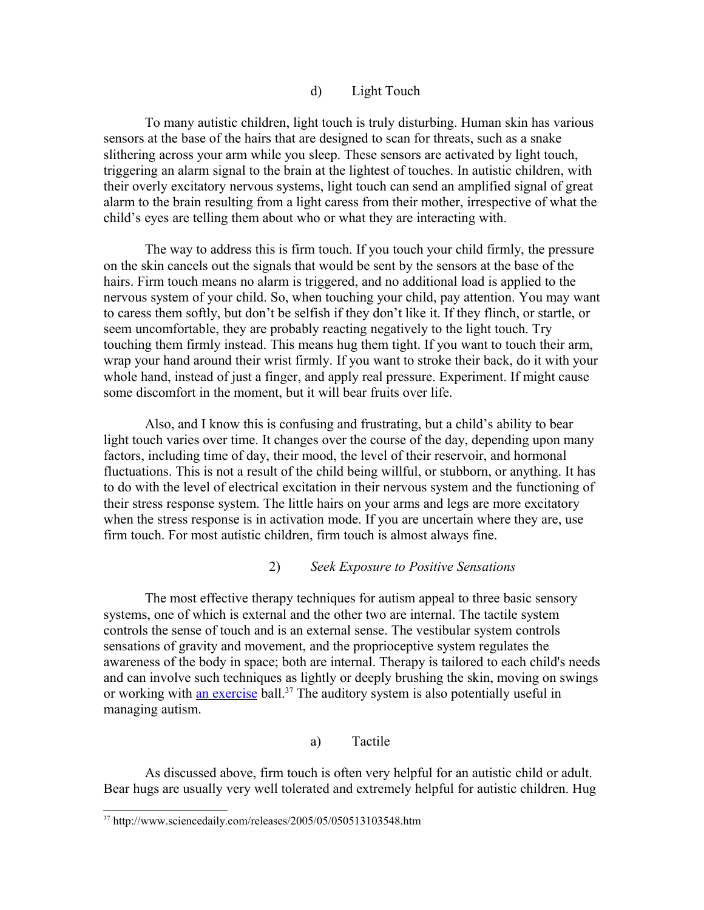#### d) Light Touch

To many autistic children, light touch is truly disturbing. Human skin has various sensors at the base of the hairs that are designed to scan for threats, such as a snake slithering across your arm while you sleep. These sensors are activated by light touch, triggering an alarm signal to the brain at the lightest of touches. In autistic children, with their overly excitatory nervous systems, light touch can send an amplified signal of great alarm to the brain resulting from a light caress from their mother, irrespective of what the child's eyes are telling them about who or what they are interacting with.

The way to address this is firm touch. If you touch your child firmly, the pressure on the skin cancels out the signals that would be sent by the sensors at the base of the hairs. Firm touch means no alarm is triggered, and no additional load is applied to the nervous system of your child. So, when touching your child, pay attention. You may want to caress them softly, but don't be selfish if they don't like it. If they flinch, or startle, or seem uncomfortable, they are probably reacting negatively to the light touch. Try touching them firmly instead. This means hug them tight. If you want to touch their arm, wrap your hand around their wrist firmly. If you want to stroke their back, do it with your whole hand, instead of just a finger, and apply real pressure. Experiment. If might cause some discomfort in the moment, but it will bear fruits over life.

Also, and I know this is confusing and frustrating, but a child's ability to bear light touch varies over time. It changes over the course of the day, depending upon many factors, including time of day, their mood, the level of their reservoir, and hormonal fluctuations. This is not a result of the child being willful, or stubborn, or anything. It has to do with the level of electrical excitation in their nervous system and the functioning of their stress response system. The little hairs on your arms and legs are more excitatory when the stress response is in activation mode. If you are uncertain where they are, use firm touch. For most autistic children, firm touch is almost always fine.

#### 2) *Seek Exposure to Positive Sensations*

The most effective therapy techniques for autism appeal to three basic sensory systems, one of which is external and the other two are internal. The tactile system controls the sense of touch and is an external sense. The vestibular system controls sensations of gravity and movement, and the proprioceptive system regulates the awareness of the body in space; both are internal. Therapy is tailored to each child's needs and can involve such techniques as lightly or deeply brushing the skin, moving on swings or working with [an exercise](http://www.sciencedaily.com/releases/2005/05/050513103548.htm) ball.<sup>[37](#page-26-0)</sup> The auditory system is also potentially useful in managing autism.

#### a) Tactile

As discussed above, firm touch is often very helpful for an autistic child or adult. Bear hugs are usually very well tolerated and extremely helpful for autistic children. Hug

<span id="page-26-0"></span><sup>37</sup> http://www.sciencedaily.com/releases/2005/05/050513103548.htm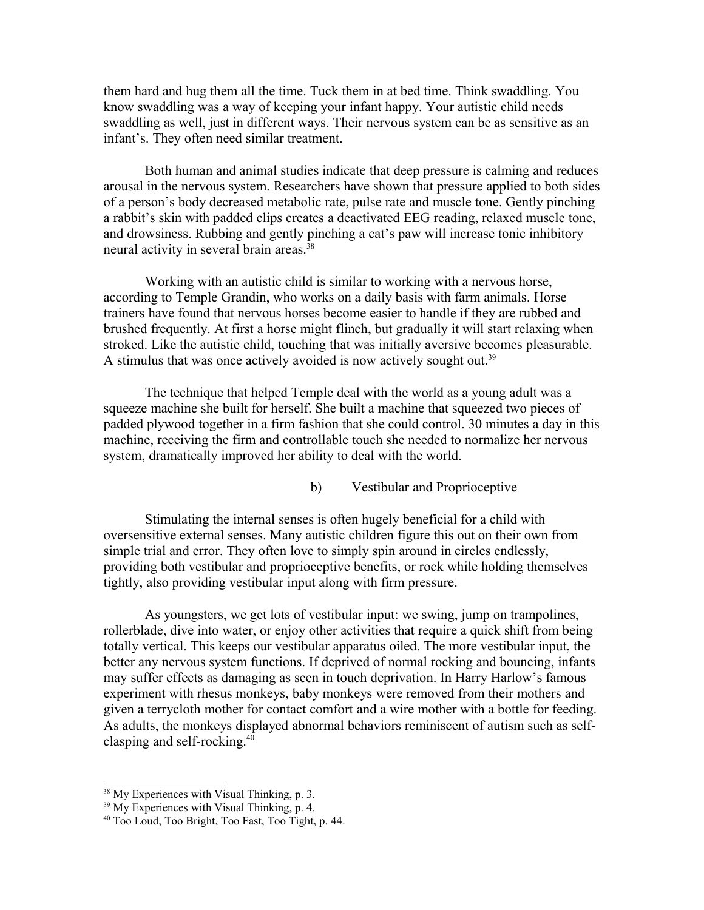them hard and hug them all the time. Tuck them in at bed time. Think swaddling. You know swaddling was a way of keeping your infant happy. Your autistic child needs swaddling as well, just in different ways. Their nervous system can be as sensitive as an infant's. They often need similar treatment.

Both human and animal studies indicate that deep pressure is calming and reduces arousal in the nervous system. Researchers have shown that pressure applied to both sides of a person's body decreased metabolic rate, pulse rate and muscle tone. Gently pinching a rabbit's skin with padded clips creates a deactivated EEG reading, relaxed muscle tone, and drowsiness. Rubbing and gently pinching a cat's paw will increase tonic inhibitory neural activity in several brain areas.<sup>[38](#page-27-0)</sup>

Working with an autistic child is similar to working with a nervous horse, according to Temple Grandin, who works on a daily basis with farm animals. Horse trainers have found that nervous horses become easier to handle if they are rubbed and brushed frequently. At first a horse might flinch, but gradually it will start relaxing when stroked. Like the autistic child, touching that was initially aversive becomes pleasurable. A stimulus that was once actively avoided is now actively sought out.<sup>[39](#page-27-1)</sup>

The technique that helped Temple deal with the world as a young adult was a squeeze machine she built for herself. She built a machine that squeezed two pieces of padded plywood together in a firm fashion that she could control. 30 minutes a day in this machine, receiving the firm and controllable touch she needed to normalize her nervous system, dramatically improved her ability to deal with the world.

b) Vestibular and Proprioceptive

Stimulating the internal senses is often hugely beneficial for a child with oversensitive external senses. Many autistic children figure this out on their own from simple trial and error. They often love to simply spin around in circles endlessly, providing both vestibular and proprioceptive benefits, or rock while holding themselves tightly, also providing vestibular input along with firm pressure.

As youngsters, we get lots of vestibular input: we swing, jump on trampolines, rollerblade, dive into water, or enjoy other activities that require a quick shift from being totally vertical. This keeps our vestibular apparatus oiled. The more vestibular input, the better any nervous system functions. If deprived of normal rocking and bouncing, infants may suffer effects as damaging as seen in touch deprivation. In Harry Harlow's famous experiment with rhesus monkeys, baby monkeys were removed from their mothers and given a terrycloth mother for contact comfort and a wire mother with a bottle for feeding. As adults, the monkeys displayed abnormal behaviors reminiscent of autism such as selfclasping and self-rocking.[40](#page-27-2)

<span id="page-27-0"></span><sup>&</sup>lt;sup>38</sup> My Experiences with Visual Thinking, p. 3.

<span id="page-27-1"></span><sup>&</sup>lt;sup>39</sup> My Experiences with Visual Thinking, p. 4.

<span id="page-27-2"></span><sup>40</sup> Too Loud, Too Bright, Too Fast, Too Tight, p. 44.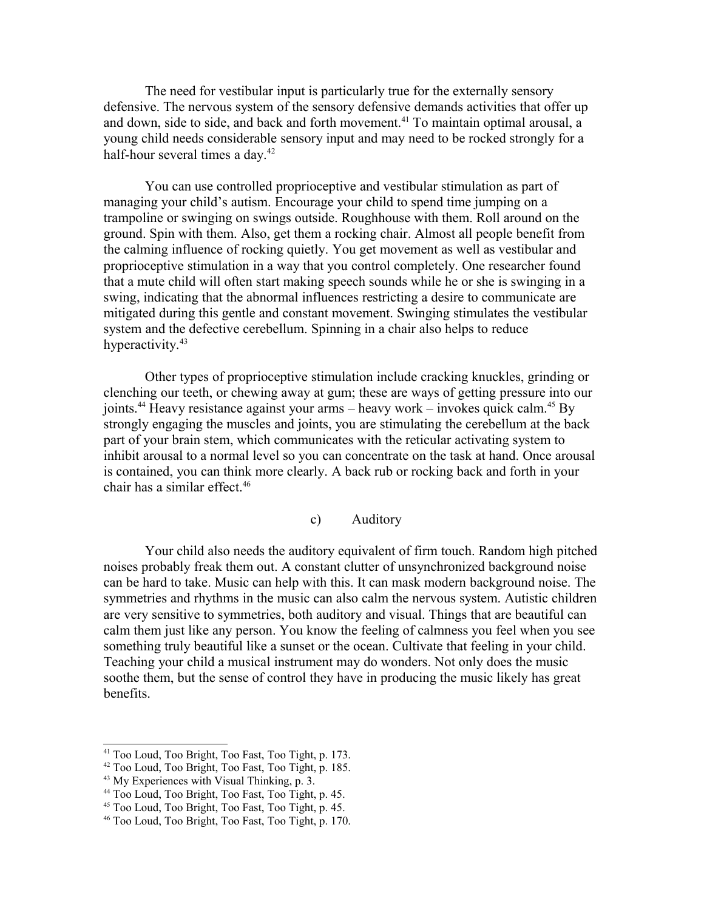The need for vestibular input is particularly true for the externally sensory defensive. The nervous system of the sensory defensive demands activities that offer up and down, side to side, and back and forth movement.<sup>[41](#page-28-0)</sup> To maintain optimal arousal, a young child needs considerable sensory input and may need to be rocked strongly for a half-hour several times a day.<sup>[42](#page-28-1)</sup>

You can use controlled proprioceptive and vestibular stimulation as part of managing your child's autism. Encourage your child to spend time jumping on a trampoline or swinging on swings outside. Roughhouse with them. Roll around on the ground. Spin with them. Also, get them a rocking chair. Almost all people benefit from the calming influence of rocking quietly. You get movement as well as vestibular and proprioceptive stimulation in a way that you control completely. One researcher found that a mute child will often start making speech sounds while he or she is swinging in a swing, indicating that the abnormal influences restricting a desire to communicate are mitigated during this gentle and constant movement. Swinging stimulates the vestibular system and the defective cerebellum. Spinning in a chair also helps to reduce hyperactivity.<sup>[43](#page-28-2)</sup>

Other types of proprioceptive stimulation include cracking knuckles, grinding or clenching our teeth, or chewing away at gum; these are ways of getting pressure into our joints.<sup>[44](#page-28-3)</sup> Heavy resistance against your arms – heavy work – invokes quick calm.<sup>[45](#page-28-4)</sup> By strongly engaging the muscles and joints, you are stimulating the cerebellum at the back part of your brain stem, which communicates with the reticular activating system to inhibit arousal to a normal level so you can concentrate on the task at hand. Once arousal is contained, you can think more clearly. A back rub or rocking back and forth in your chair has a similar effect.[46](#page-28-5)

#### c) Auditory

Your child also needs the auditory equivalent of firm touch. Random high pitched noises probably freak them out. A constant clutter of unsynchronized background noise can be hard to take. Music can help with this. It can mask modern background noise. The symmetries and rhythms in the music can also calm the nervous system. Autistic children are very sensitive to symmetries, both auditory and visual. Things that are beautiful can calm them just like any person. You know the feeling of calmness you feel when you see something truly beautiful like a sunset or the ocean. Cultivate that feeling in your child. Teaching your child a musical instrument may do wonders. Not only does the music soothe them, but the sense of control they have in producing the music likely has great benefits.

<span id="page-28-0"></span><sup>41</sup> Too Loud, Too Bright, Too Fast, Too Tight, p. 173.

<span id="page-28-1"></span><sup>42</sup> Too Loud, Too Bright, Too Fast, Too Tight, p. 185.

<span id="page-28-2"></span><sup>43</sup> My Experiences with Visual Thinking, p. 3.

<span id="page-28-3"></span><sup>44</sup> Too Loud, Too Bright, Too Fast, Too Tight, p. 45.

<span id="page-28-4"></span><sup>45</sup> Too Loud, Too Bright, Too Fast, Too Tight, p. 45.

<span id="page-28-5"></span><sup>46</sup> Too Loud, Too Bright, Too Fast, Too Tight, p. 170.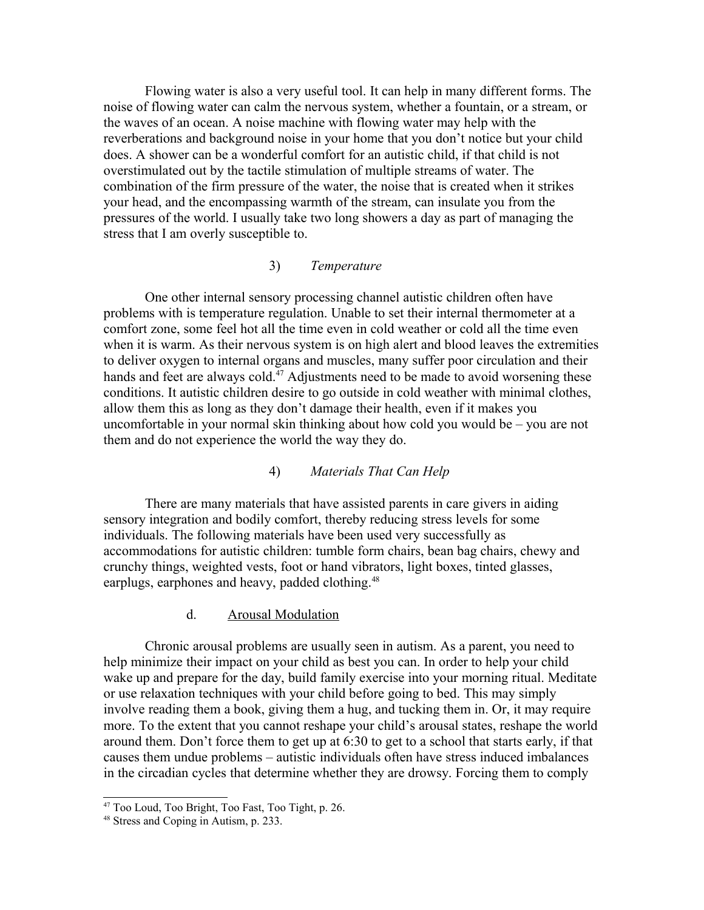Flowing water is also a very useful tool. It can help in many different forms. The noise of flowing water can calm the nervous system, whether a fountain, or a stream, or the waves of an ocean. A noise machine with flowing water may help with the reverberations and background noise in your home that you don't notice but your child does. A shower can be a wonderful comfort for an autistic child, if that child is not overstimulated out by the tactile stimulation of multiple streams of water. The combination of the firm pressure of the water, the noise that is created when it strikes your head, and the encompassing warmth of the stream, can insulate you from the pressures of the world. I usually take two long showers a day as part of managing the stress that I am overly susceptible to.

## 3) *Temperature*

One other internal sensory processing channel autistic children often have problems with is temperature regulation. Unable to set their internal thermometer at a comfort zone, some feel hot all the time even in cold weather or cold all the time even when it is warm. As their nervous system is on high alert and blood leaves the extremities to deliver oxygen to internal organs and muscles, many suffer poor circulation and their hands and feet are always cold.<sup>[47](#page-29-0)</sup> Adjustments need to be made to avoid worsening these conditions. It autistic children desire to go outside in cold weather with minimal clothes, allow them this as long as they don't damage their health, even if it makes you uncomfortable in your normal skin thinking about how cold you would be – you are not them and do not experience the world the way they do.

#### 4) *Materials That Can Help*

There are many materials that have assisted parents in care givers in aiding sensory integration and bodily comfort, thereby reducing stress levels for some individuals. The following materials have been used very successfully as accommodations for autistic children: tumble form chairs, bean bag chairs, chewy and crunchy things, weighted vests, foot or hand vibrators, light boxes, tinted glasses, earplugs, earphones and heavy, padded clothing.<sup>[48](#page-29-1)</sup>

#### d. Arousal Modulation

Chronic arousal problems are usually seen in autism. As a parent, you need to help minimize their impact on your child as best you can. In order to help your child wake up and prepare for the day, build family exercise into your morning ritual. Meditate or use relaxation techniques with your child before going to bed. This may simply involve reading them a book, giving them a hug, and tucking them in. Or, it may require more. To the extent that you cannot reshape your child's arousal states, reshape the world around them. Don't force them to get up at 6:30 to get to a school that starts early, if that causes them undue problems – autistic individuals often have stress induced imbalances in the circadian cycles that determine whether they are drowsy. Forcing them to comply

<span id="page-29-0"></span><sup>47</sup> Too Loud, Too Bright, Too Fast, Too Tight, p. 26.

<span id="page-29-1"></span><sup>48</sup> Stress and Coping in Autism, p. 233.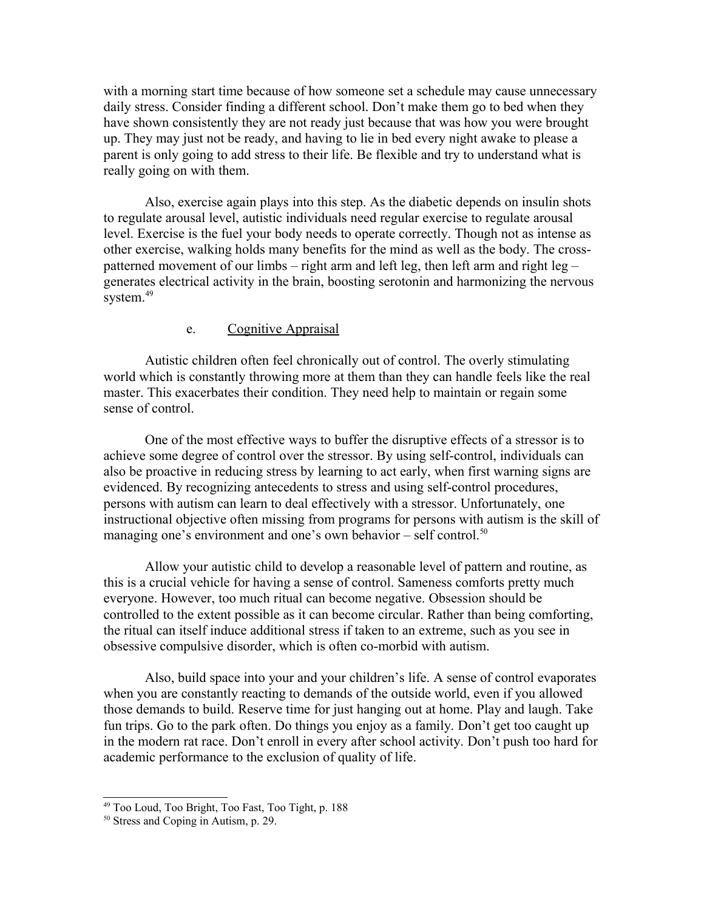with a morning start time because of how someone set a schedule may cause unnecessary daily stress. Consider finding a different school. Don't make them go to bed when they have shown consistently they are not ready just because that was how you were brought up. They may just not be ready, and having to lie in bed every night awake to please a parent is only going to add stress to their life. Be flexible and try to understand what is really going on with them.

Also, exercise again plays into this step. As the diabetic depends on insulin shots to regulate arousal level, autistic individuals need regular exercise to regulate arousal level. Exercise is the fuel your body needs to operate correctly. Though not as intense as other exercise, walking holds many benefits for the mind as well as the body. The crosspatterned movement of our limbs – right arm and left leg, then left arm and right leg – generates electrical activity in the brain, boosting serotonin and harmonizing the nervous system.<sup>[49](#page-30-0)</sup>

### e. Cognitive Appraisal

Autistic children often feel chronically out of control. The overly stimulating world which is constantly throwing more at them than they can handle feels like the real master. This exacerbates their condition. They need help to maintain or regain some sense of control.

One of the most effective ways to buffer the disruptive effects of a stressor is to achieve some degree of control over the stressor. By using self-control, individuals can also be proactive in reducing stress by learning to act early, when first warning signs are evidenced. By recognizing antecedents to stress and using self-control procedures, persons with autism can learn to deal effectively with a stressor. Unfortunately, one instructional objective often missing from programs for persons with autism is the skill of managing one's environment and one's own behavior – self control.<sup>[50](#page-30-1)</sup>

Allow your autistic child to develop a reasonable level of pattern and routine, as this is a crucial vehicle for having a sense of control. Sameness comforts pretty much everyone. However, too much ritual can become negative. Obsession should be controlled to the extent possible as it can become circular. Rather than being comforting, the ritual can itself induce additional stress if taken to an extreme, such as you see in obsessive compulsive disorder, which is often co-morbid with autism.

Also, build space into your and your children's life. A sense of control evaporates when you are constantly reacting to demands of the outside world, even if you allowed those demands to build. Reserve time for just hanging out at home. Play and laugh. Take fun trips. Go to the park often. Do things you enjoy as a family. Don't get too caught up in the modern rat race. Don't enroll in every after school activity. Don't push too hard for academic performance to the exclusion of quality of life.

<span id="page-30-0"></span><sup>49</sup> Too Loud, Too Bright, Too Fast, Too Tight, p. 188

<span id="page-30-1"></span><sup>50</sup> Stress and Coping in Autism, p. 29.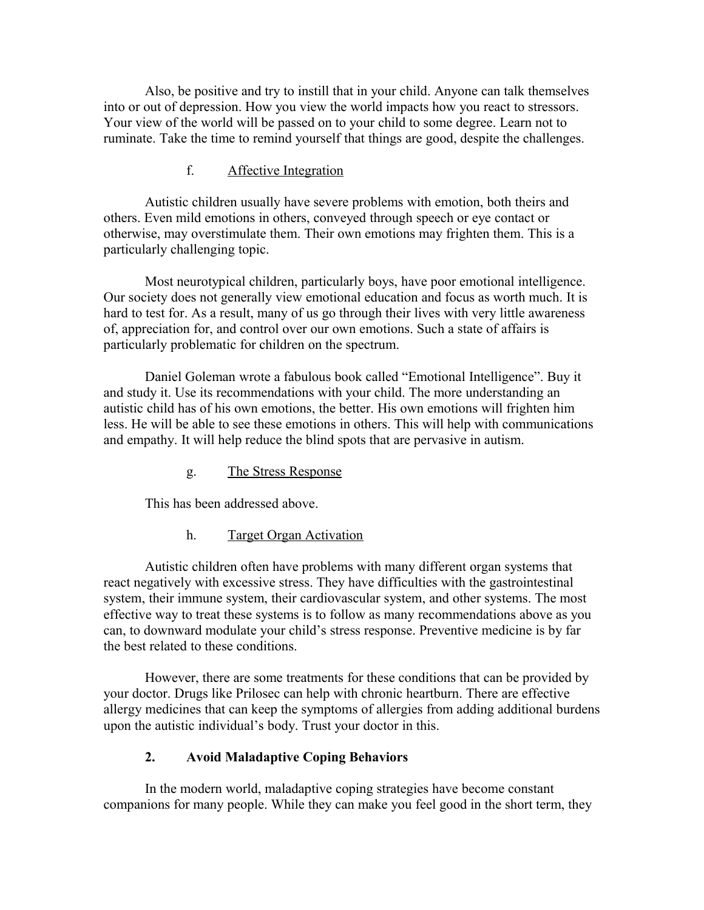Also, be positive and try to instill that in your child. Anyone can talk themselves into or out of depression. How you view the world impacts how you react to stressors. Your view of the world will be passed on to your child to some degree. Learn not to ruminate. Take the time to remind yourself that things are good, despite the challenges.

## f. Affective Integration

Autistic children usually have severe problems with emotion, both theirs and others. Even mild emotions in others, conveyed through speech or eye contact or otherwise, may overstimulate them. Their own emotions may frighten them. This is a particularly challenging topic.

Most neurotypical children, particularly boys, have poor emotional intelligence. Our society does not generally view emotional education and focus as worth much. It is hard to test for. As a result, many of us go through their lives with very little awareness of, appreciation for, and control over our own emotions. Such a state of affairs is particularly problematic for children on the spectrum.

Daniel Goleman wrote a fabulous book called "Emotional Intelligence". Buy it and study it. Use its recommendations with your child. The more understanding an autistic child has of his own emotions, the better. His own emotions will frighten him less. He will be able to see these emotions in others. This will help with communications and empathy. It will help reduce the blind spots that are pervasive in autism.

g. The Stress Response

This has been addressed above.

h. Target Organ Activation

Autistic children often have problems with many different organ systems that react negatively with excessive stress. They have difficulties with the gastrointestinal system, their immune system, their cardiovascular system, and other systems. The most effective way to treat these systems is to follow as many recommendations above as you can, to downward modulate your child's stress response. Preventive medicine is by far the best related to these conditions.

However, there are some treatments for these conditions that can be provided by your doctor. Drugs like Prilosec can help with chronic heartburn. There are effective allergy medicines that can keep the symptoms of allergies from adding additional burdens upon the autistic individual's body. Trust your doctor in this.

## **2. Avoid Maladaptive Coping Behaviors**

In the modern world, maladaptive coping strategies have become constant companions for many people. While they can make you feel good in the short term, they